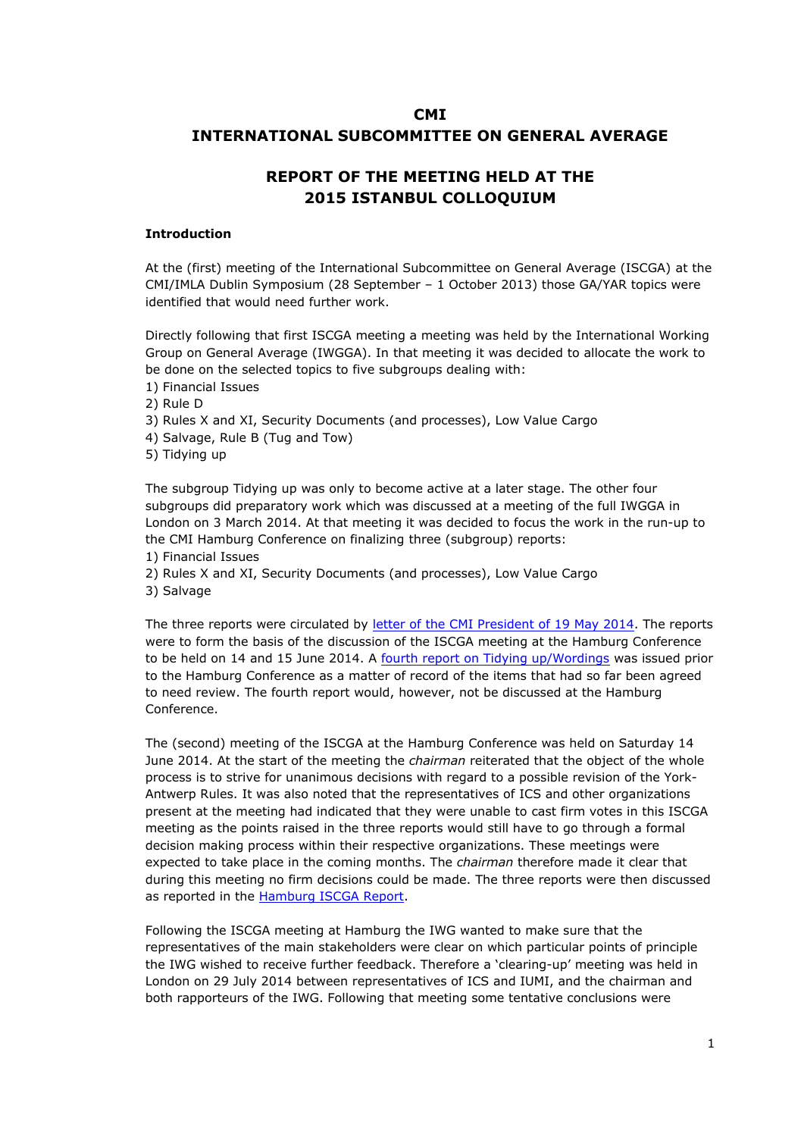# **CMI INTERNATIONAL SUBCOMMITTEE ON GENERAL AVERAGE**

# **REPORT OF THE MEETING HELD AT THE 2015 ISTANBUL COLLOQUIUM**

### **Introduction**

At the (first) meeting of the International Subcommittee on General Average (ISCGA) at the CMI/IMLA Dublin Symposium (28 September – 1 October 2013) those GA/YAR topics were identified that would need further work.

Directly following that first ISCGA meeting a meeting was held by the International Working Group on General Average (IWGGA). In that meeting it was decided to allocate the work to be done on the selected topics to five subgroups dealing with:

- 1) Financial Issues
- 2) Rule D
- 3) Rules X and XI, Security Documents (and processes), Low Value Cargo
- 4) Salvage, Rule B (Tug and Tow)
- 5) Tidying up

The subgroup Tidying up was only to become active at a later stage. The other four subgroups did preparatory work which was discussed at a meeting of the full IWGGA in London on 3 March 2014. At that meeting it was decided to focus the work in the run-up to the CMI Hamburg Conference on finalizing three (subgroup) reports:

- 1) Financial Issues
- 2) Rules X and XI, Security Documents (and processes), Low Value Cargo
- 3) Salvage

The three reports were circulated by [letter](http://www.comitemaritime.org/Uploads/pdf/CMI-ISC-General-Average-Hamburg-June-2014.pdf) [of](http://www.comitemaritime.org/Uploads/pdf/CMI-ISC-General-Average-Hamburg-June-2014.pdf) [the](http://www.comitemaritime.org/Uploads/pdf/CMI-ISC-General-Average-Hamburg-June-2014.pdf) [CMI](http://www.comitemaritime.org/Uploads/pdf/CMI-ISC-General-Average-Hamburg-June-2014.pdf) [President](http://www.comitemaritime.org/Uploads/pdf/CMI-ISC-General-Average-Hamburg-June-2014.pdf) [of](http://www.comitemaritime.org/Uploads/pdf/CMI-ISC-General-Average-Hamburg-June-2014.pdf) [19](http://www.comitemaritime.org/Uploads/pdf/CMI-ISC-General-Average-Hamburg-June-2014.pdf) [May](http://www.comitemaritime.org/Uploads/pdf/CMI-ISC-General-Average-Hamburg-June-2014.pdf) [2014.](http://www.comitemaritime.org/Uploads/pdf/CMI-ISC-General-Average-Hamburg-June-2014.pdf) The reports were to form the basis of the discussion of the ISCGA meeting at the Hamburg Conference to be held on 14 and 15 June 2014. A [fourth](http://www.comitemaritime.org/Uploads/pdf/CMI_IWGGA_ReportWording.pdf) [report](http://www.comitemaritime.org/Uploads/pdf/CMI_IWGGA_ReportWording.pdf) [on](http://www.comitemaritime.org/Uploads/pdf/CMI_IWGGA_ReportWording.pdf) [Tidying](http://www.comitemaritime.org/Uploads/pdf/CMI_IWGGA_ReportWording.pdf) [up/Wordings](http://www.comitemaritime.org/Uploads/pdf/CMI_IWGGA_ReportWording.pdf) was issued prior to the Hamburg Conference as a matter of record of the items that had so far been agreed to need review. The fourth report would, however, not be discussed at the Hamburg Conference.

The (second) meeting of the ISCGA at the Hamburg Conference was held on Saturday 14 June 2014. At the start of the meeting the *chairman* reiterated that the object of the whole process is to strive for unanimous decisions with regard to a possible revision of the York-Antwerp Rules. It was also noted that the representatives of ICS and other organizations present at the meeting had indicated that they were unable to cast firm votes in this ISCGA meeting as the points raised in the three reports would still have to go through a formal decision making process within their respective organizations. These meetings were expected to take place in the coming months. The *chairman* therefore made it clear that during this meeting no firm decisions could be made. The three reports were then discussed as reported in the [Hamburg](http://www.comitemaritime.org/Uploads/CMI_ISCGA_ReportHamburgConf2014(final).pdf) [ISCGA](http://www.comitemaritime.org/Uploads/CMI_ISCGA_ReportHamburgConf2014(final).pdf) [Report](http://www.comitemaritime.org/Uploads/CMI_ISCGA_ReportHamburgConf2014(final).pdf).

Following the ISCGA meeting at Hamburg the IWG wanted to make sure that the representatives of the main stakeholders were clear on which particular points of principle the IWG wished to receive further feedback. Therefore a 'clearing-up' meeting was held in London on 29 July 2014 between representatives of ICS and IUMI, and the chairman and both rapporteurs of the IWG. Following that meeting some tentative conclusions were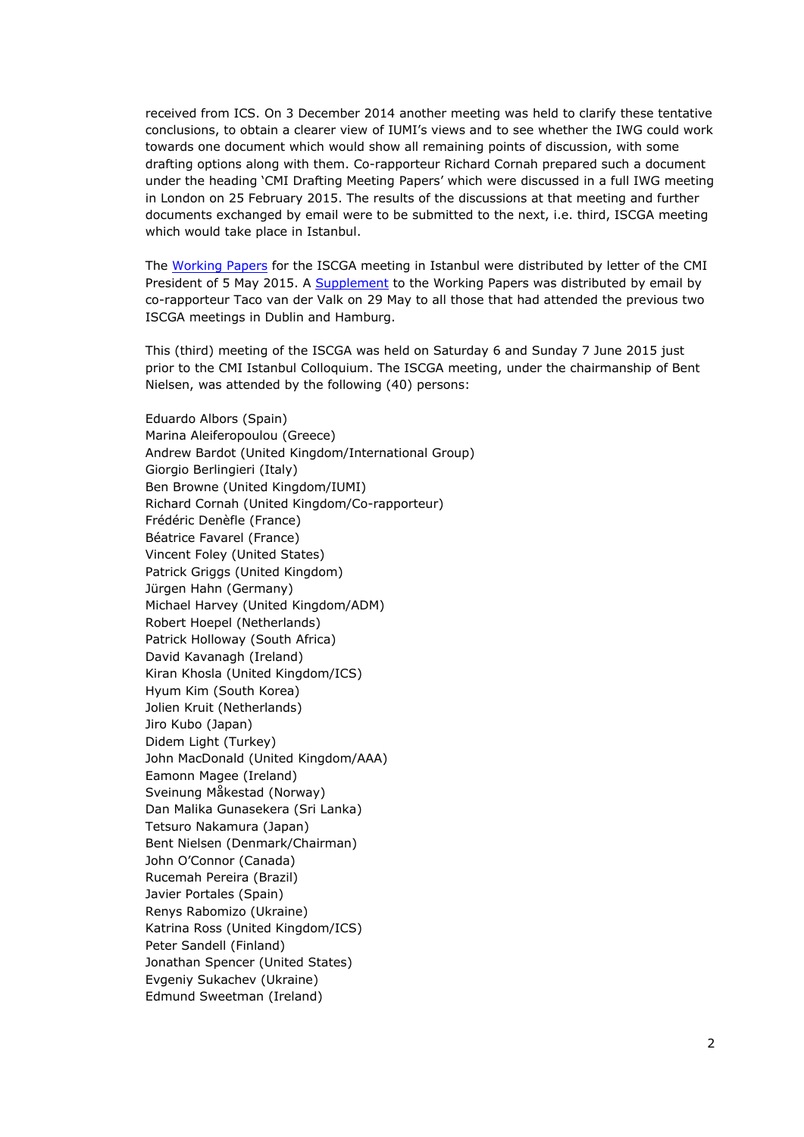received from ICS. On 3 December 2014 another meeting was held to clarify these tentative conclusions, to obtain a clearer view of IUMI's views and to see whether the IWG could work towards one document which would show all remaining points of discussion, with some drafting options along with them. Co-rapporteur Richard Cornah prepared such a document under the heading 'CMI Drafting Meeting Papers' which were discussed in a full IWG meeting in London on 25 February 2015. The results of the discussions at that meeting and further documents exchanged by email were to be submitted to the next, i.e. third, ISCGA meeting which would take place in Istanbul.

The [Working](http://www.comitemaritime.org/Uploads/Work%20In%20Progress/Rules%20of%20General%20Average/CMI_IWG_GA_ISCWorkingPaperIstanbul2015(final).pdf) [Papers](http://www.comitemaritime.org/Uploads/Work%20In%20Progress/Rules%20of%20General%20Average/CMI_IWG_GA_ISCWorkingPaperIstanbul2015(final).pdf) for the ISCGA meeting in Istanbul were distributed by letter of the CMI President of 5 May 2015. A [Supplement](http://www.comitemaritime.org/Uploads/Work%20In%20Progress/Rules%20of%20General%20Average/CMI%20IWG%20ISC%20General%20Average%20-%20Working%20Paper%20Istanbul%202015%20(Supplement).pdf) to the Working Papers was distributed by email by co-rapporteur Taco van der Valk on 29 May to all those that had attended the previous two ISCGA meetings in Dublin and Hamburg.

This (third) meeting of the ISCGA was held on Saturday 6 and Sunday 7 June 2015 just prior to the CMI Istanbul Colloquium. The ISCGA meeting, under the chairmanship of Bent Nielsen, was attended by the following (40) persons:

Eduardo Albors (Spain) Marina Aleiferopoulou (Greece) Andrew Bardot (United Kingdom/International Group) Giorgio Berlingieri (Italy) Ben Browne (United Kingdom/IUMI) Richard Cornah (United Kingdom/Co-rapporteur) Frédéric Denèfle (France) Béatrice Favarel (France) Vincent Foley (United States) Patrick Griggs (United Kingdom) Jürgen Hahn (Germany) Michael Harvey (United Kingdom/ADM) Robert Hoepel (Netherlands) Patrick Holloway (South Africa) David Kavanagh (Ireland) Kiran Khosla (United Kingdom/ICS) Hyum Kim (South Korea) Jolien Kruit (Netherlands) Jiro Kubo (Japan) Didem Light (Turkey) John MacDonald (United Kingdom/AAA) Eamonn Magee (Ireland) Sveinung Måkestad (Norway) Dan Malika Gunasekera (Sri Lanka) Tetsuro Nakamura (Japan) Bent Nielsen (Denmark/Chairman) John O'Connor (Canada) Rucemah Pereira (Brazil) Javier Portales (Spain) Renys Rabomizo (Ukraine) Katrina Ross (United Kingdom/ICS) Peter Sandell (Finland) Jonathan Spencer (United States) Evgeniy Sukachev (Ukraine) Edmund Sweetman (Ireland)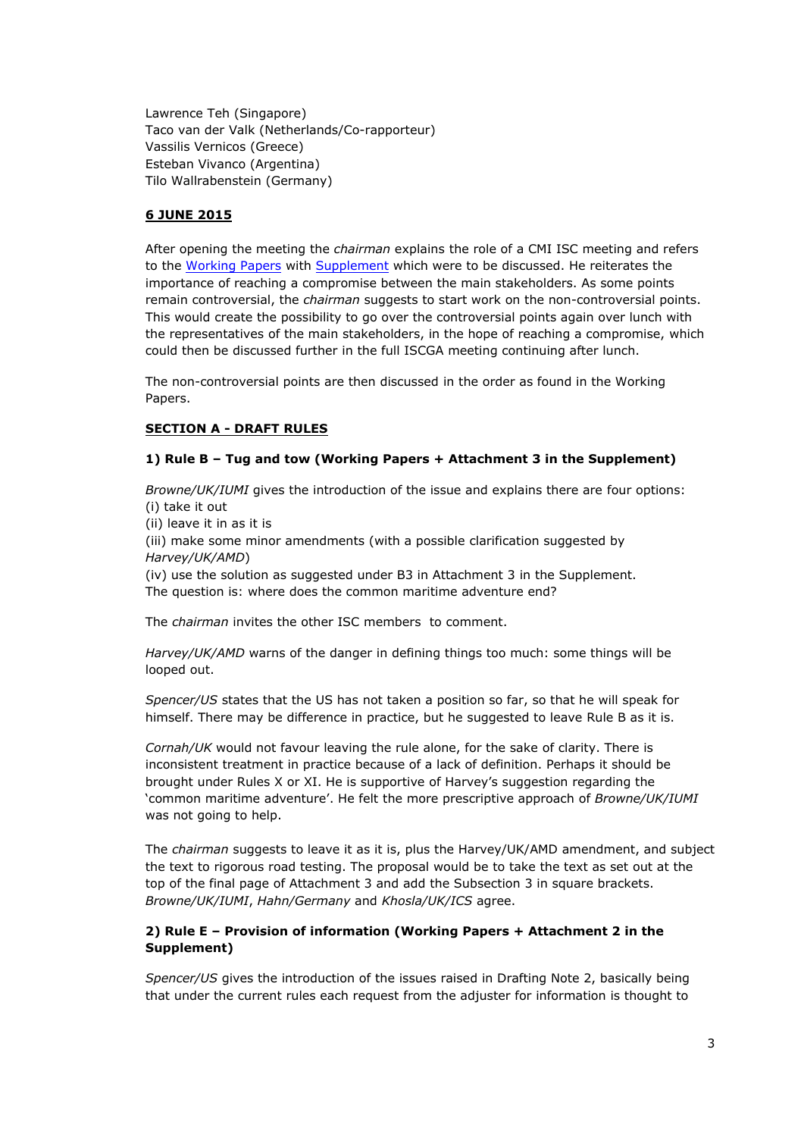Lawrence Teh (Singapore) Taco van der Valk (Netherlands/Co-rapporteur) Vassilis Vernicos (Greece) Esteban Vivanco (Argentina) Tilo Wallrabenstein (Germany)

### **6 JUNE 2015**

After opening the meeting the *chairman* explains the role of a CMI ISC meeting and refers to the [Working](http://www.comitemaritime.org/Uploads/Work%20In%20Progress/Rules%20of%20General%20Average/CMI_IWG_GA_ISCWorkingPaperIstanbul2015(final).pdf) [Papers](http://www.comitemaritime.org/Uploads/Work%20In%20Progress/Rules%20of%20General%20Average/CMI_IWG_GA_ISCWorkingPaperIstanbul2015(final).pdf) with [Supplement](http://www.comitemaritime.org/Uploads/Work%20In%20Progress/Rules%20of%20General%20Average/CMI%20IWG%20ISC%20General%20Average%20-%20Working%20Paper%20Istanbul%202015%20(Supplement).pdf) which were to be discussed. He reiterates the importance of reaching a compromise between the main stakeholders. As some points remain controversial, the *chairman* suggests to start work on the non-controversial points. This would create the possibility to go over the controversial points again over lunch with the representatives of the main stakeholders, in the hope of reaching a compromise, which could then be discussed further in the full ISCGA meeting continuing after lunch.

The non-controversial points are then discussed in the order as found in the Working Papers.

# **SECTION A - DRAFT RULES**

### **1) Rule B – Tug and tow (Working Papers + Attachment 3 in the Supplement)**

*Browne/UK/IUMI* gives the introduction of the issue and explains there are four options: (i) take it out

(ii) leave it in as it is

(iii) make some minor amendments (with a possible clarification suggested by *Harvey/UK/AMD*)

(iv) use the solution as suggested under B3 in Attachment 3 in the Supplement. The question is: where does the common maritime adventure end?

The *chairman* invites the other ISC members to comment.

*Harvey/UK/AMD* warns of the danger in defining things too much: some things will be looped out.

*Spencer/US* states that the US has not taken a position so far, so that he will speak for himself. There may be difference in practice, but he suggested to leave Rule B as it is.

*Cornah/UK* would not favour leaving the rule alone, for the sake of clarity. There is inconsistent treatment in practice because of a lack of definition. Perhaps it should be brought under Rules X or XI. He is supportive of Harvey's suggestion regarding the 'common maritime adventure'. He felt the more prescriptive approach of *Browne/UK/IUMI* was not going to help.

The *chairman* suggests to leave it as it is, plus the Harvey/UK/AMD amendment, and subject the text to rigorous road testing. The proposal would be to take the text as set out at the top of the final page of Attachment 3 and add the Subsection 3 in square brackets. *Browne/UK/IUMI*, *Hahn/Germany* and *Khosla/UK/ICS* agree.

### **2) Rule E – Provision of information (Working Papers + Attachment 2 in the Supplement)**

*Spencer/US* gives the introduction of the issues raised in Drafting Note 2, basically being that under the current rules each request from the adjuster for information is thought to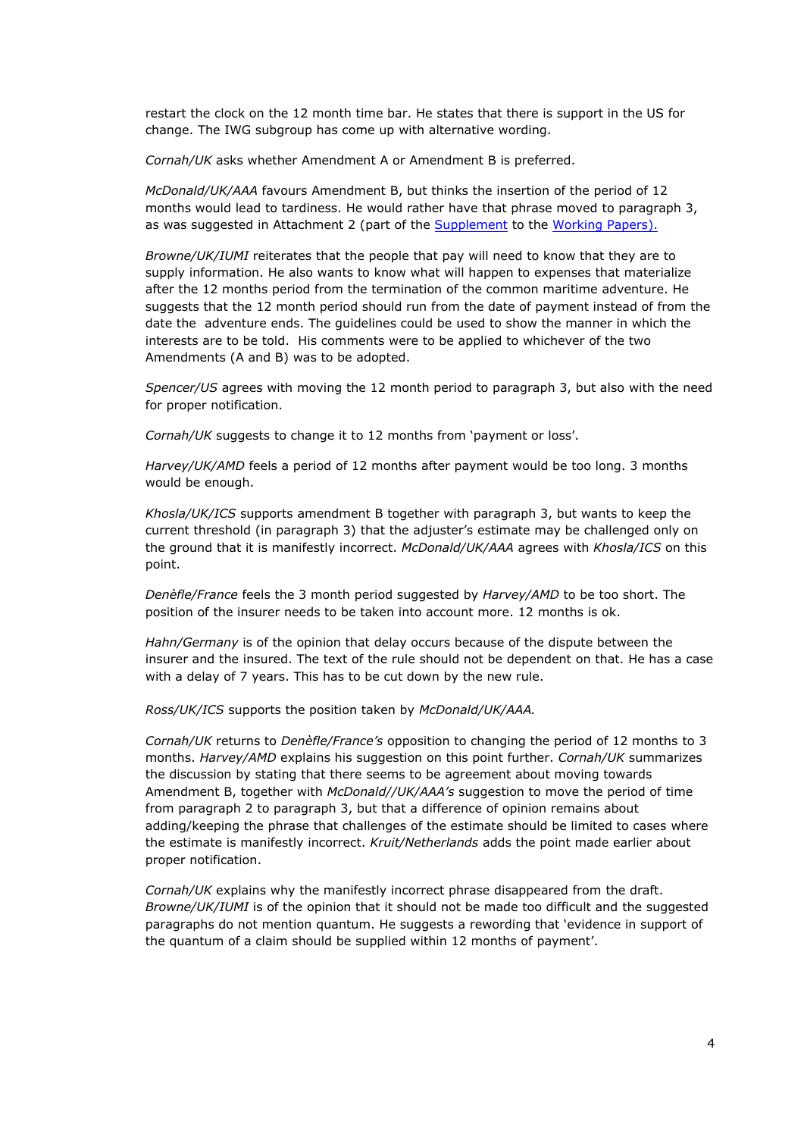restart the clock on the 12 month time bar. He states that there is support in the US for change. The IWG subgroup has come up with alternative wording.

*Cornah/UK* asks whether Amendment A or Amendment B is preferred.

*McDonald/UK/AAA* favours Amendment B, but thinks the insertion of the period of 12 months would lead to tardiness. He would rather have that phrase moved to paragraph 3, as was suggested in Attachment 2 (part of the [Supplement](http://www.comitemaritime.org/Uploads/Work%20In%20Progress/Rules%20of%20General%20Average/CMI%20IWG%20ISC%20General%20Average%20-%20Working%20Paper%20Istanbul%202015%20(Supplement).pdf) to the [Working](http://www.comitemaritime.org/Uploads/Work%20In%20Progress/Rules%20of%20General%20Average/CMI_IWG_GA_ISCWorkingPaperIstanbul2015(final).pdf) [Papers\)](http://www.comitemaritime.org/Uploads/Work%20In%20Progress/Rules%20of%20General%20Average/CMI_IWG_GA_ISCWorkingPaperIstanbul2015(final).pdf).

*Browne/UK/IUMI* reiterates that the people that pay will need to know that they are to supply information. He also wants to know what will happen to expenses that materialize after the 12 months period from the termination of the common maritime adventure. He suggests that the 12 month period should run from the date of payment instead of from the date the adventure ends. The guidelines could be used to show the manner in which the interests are to be told. His comments were to be applied to whichever of the two Amendments (A and B) was to be adopted.

*Spencer/US* agrees with moving the 12 month period to paragraph 3, but also with the need for proper notification.

*Cornah/UK* suggests to change it to 12 months from 'payment or loss'.

*Harvey/UK/AMD* feels a period of 12 months after payment would be too long. 3 months would be enough.

*Khosla/UK/ICS* supports amendment B together with paragraph 3, but wants to keep the current threshold (in paragraph 3) that the adjuster's estimate may be challenged only on the ground that it is manifestly incorrect. *McDonald/UK/AAA* agrees with *Khosla/ICS* on this point.

*Denèfle/France* feels the 3 month period suggested by *Harvey/AMD* to be too short. The position of the insurer needs to be taken into account more. 12 months is ok.

*Hahn/Germany* is of the opinion that delay occurs because of the dispute between the insurer and the insured. The text of the rule should not be dependent on that. He has a case with a delay of 7 years. This has to be cut down by the new rule.

*Ross/UK/ICS* supports the position taken by *McDonald/UK/AAA.*

*Cornah/UK* returns to *Denèfle/France's* opposition to changing the period of 12 months to 3 months. *Harvey/AMD* explains his suggestion on this point further. *Cornah/UK* summarizes the discussion by stating that there seems to be agreement about moving towards Amendment B, together with *McDonald//UK/AAA's* suggestion to move the period of time from paragraph 2 to paragraph 3, but that a difference of opinion remains about adding/keeping the phrase that challenges of the estimate should be limited to cases where the estimate is manifestly incorrect. *Kruit/Netherlands* adds the point made earlier about proper notification.

*Cornah/UK* explains why the manifestly incorrect phrase disappeared from the draft. *Browne/UK/IUMI* is of the opinion that it should not be made too difficult and the suggested paragraphs do not mention quantum. He suggests a rewording that 'evidence in support of the quantum of a claim should be supplied within 12 months of payment'.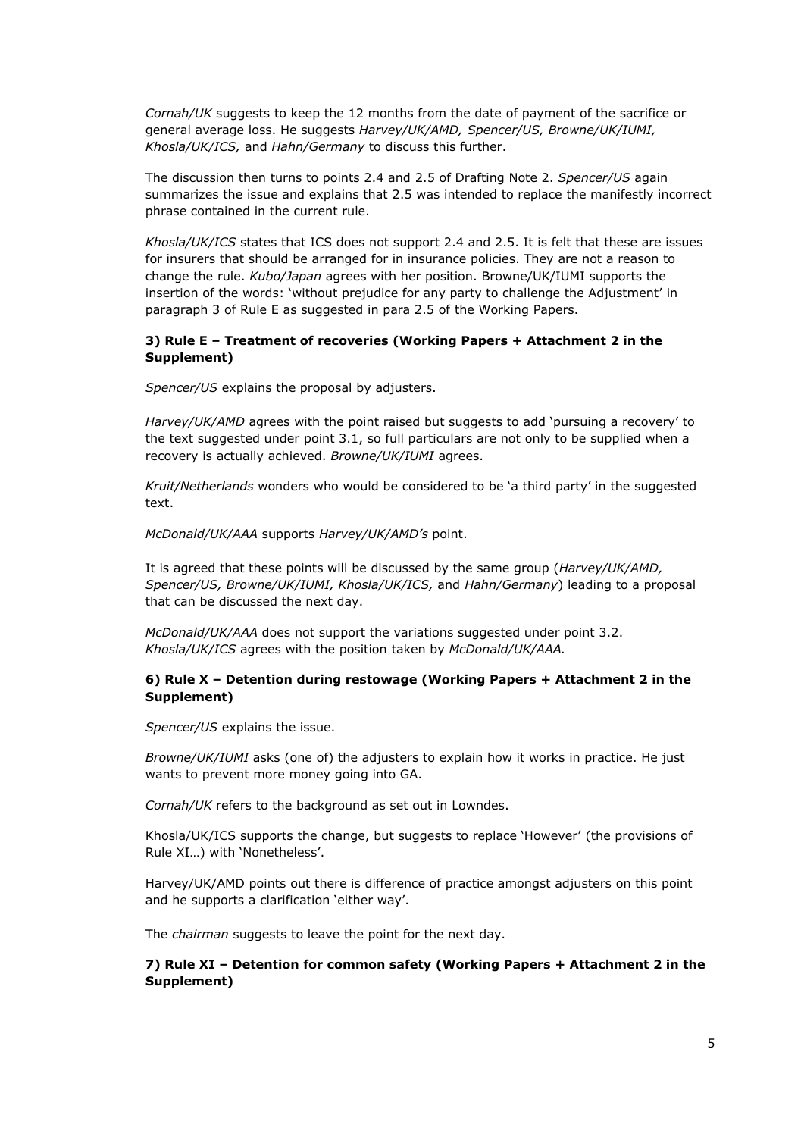*Cornah/UK* suggests to keep the 12 months from the date of payment of the sacrifice or general average loss. He suggests *Harvey/UK/AMD, Spencer/US, Browne/UK/IUMI, Khosla/UK/ICS,* and *Hahn/Germany* to discuss this further.

The discussion then turns to points 2.4 and 2.5 of Drafting Note 2. *Spencer/US* again summarizes the issue and explains that 2.5 was intended to replace the manifestly incorrect phrase contained in the current rule.

*Khosla/UK/ICS* states that ICS does not support 2.4 and 2.5. It is felt that these are issues for insurers that should be arranged for in insurance policies. They are not a reason to change the rule. *Kubo/Japan* agrees with her position. Browne/UK/IUMI supports the insertion of the words: 'without prejudice for any party to challenge the Adjustment' in paragraph 3 of Rule E as suggested in para 2.5 of the Working Papers.

#### **3) Rule E – Treatment of recoveries (Working Papers + Attachment 2 in the Supplement)**

*Spencer/US* explains the proposal by adjusters.

*Harvey/UK/AMD* agrees with the point raised but suggests to add 'pursuing a recovery' to the text suggested under point 3.1, so full particulars are not only to be supplied when a recovery is actually achieved. *Browne/UK/IUMI* agrees.

*Kruit/Netherlands* wonders who would be considered to be 'a third party' in the suggested text.

*McDonald/UK/AAA* supports *Harvey/UK/AMD's* point.

It is agreed that these points will be discussed by the same group (*Harvey/UK/AMD, Spencer/US, Browne/UK/IUMI, Khosla/UK/ICS,* and *Hahn/Germany*) leading to a proposal that can be discussed the next day.

*McDonald/UK/AAA* does not support the variations suggested under point 3.2. *Khosla/UK/ICS* agrees with the position taken by *McDonald/UK/AAA.*

### **6) Rule X – Detention during restowage (Working Papers + Attachment 2 in the Supplement)**

*Spencer/US* explains the issue.

*Browne/UK/IUMI* asks (one of) the adjusters to explain how it works in practice. He just wants to prevent more money going into GA.

*Cornah/UK* refers to the background as set out in Lowndes.

Khosla/UK/ICS supports the change, but suggests to replace 'However' (the provisions of Rule XI…) with 'Nonetheless'.

Harvey/UK/AMD points out there is difference of practice amongst adjusters on this point and he supports a clarification 'either way'.

The *chairman* suggests to leave the point for the next day.

### **7) Rule XI – Detention for common safety (Working Papers + Attachment 2 in the Supplement)**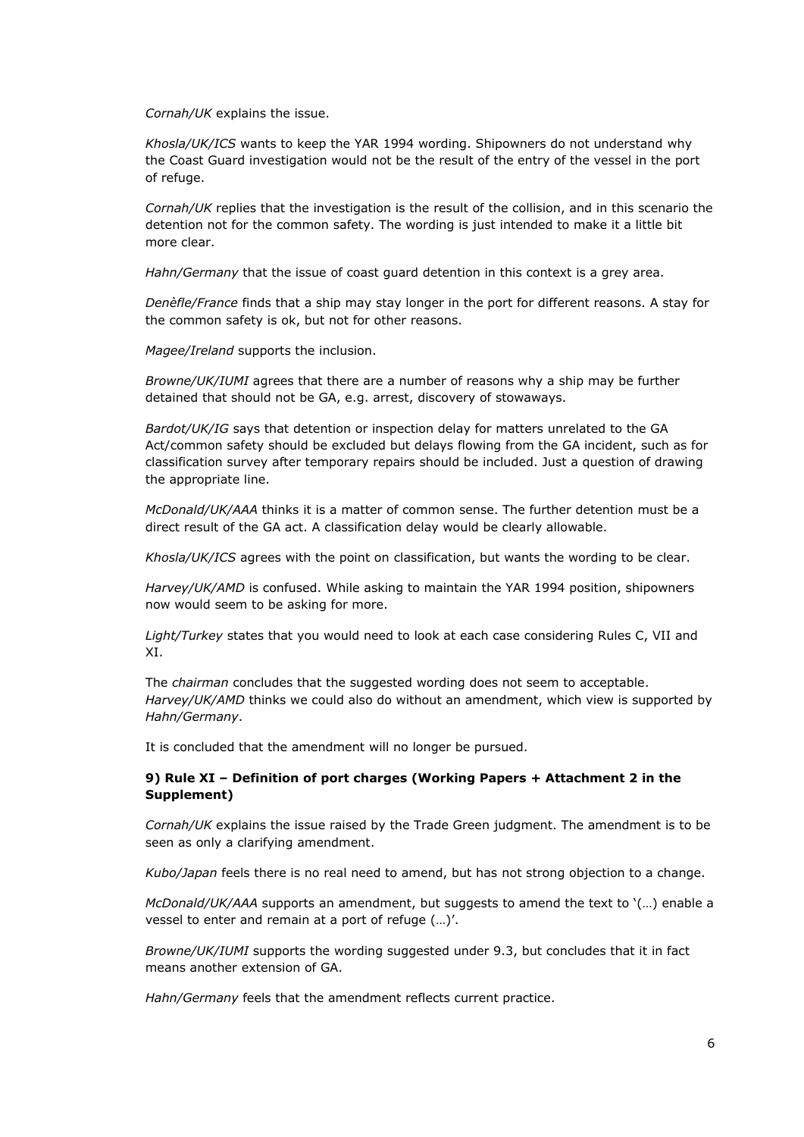*Cornah/UK* explains the issue.

*Khosla/UK/ICS* wants to keep the YAR 1994 wording. Shipowners do not understand why the Coast Guard investigation would not be the result of the entry of the vessel in the port of refuge.

*Cornah/UK* replies that the investigation is the result of the collision, and in this scenario the detention not for the common safety. The wording is just intended to make it a little bit more clear.

*Hahn/Germany* that the issue of coast guard detention in this context is a grey area.

*Denèfle/France* finds that a ship may stay longer in the port for different reasons. A stay for the common safety is ok, but not for other reasons.

*Magee/Ireland* supports the inclusion.

*Browne/UK/IUMI* agrees that there are a number of reasons why a ship may be further detained that should not be GA, e.g. arrest, discovery of stowaways.

*Bardot/UK/IG* says that detention or inspection delay for matters unrelated to the GA Act/common safety should be excluded but delays flowing from the GA incident, such as for classification survey after temporary repairs should be included. Just a question of drawing the appropriate line.

*McDonald/UK/AAA* thinks it is a matter of common sense. The further detention must be a direct result of the GA act. A classification delay would be clearly allowable.

*Khosla/UK/ICS* agrees with the point on classification, but wants the wording to be clear.

*Harvey/UK/AMD* is confused. While asking to maintain the YAR 1994 position, shipowners now would seem to be asking for more.

*Light/Turkey* states that you would need to look at each case considering Rules C, VII and XI.

The *chairman* concludes that the suggested wording does not seem to acceptable. Harvey/UK/AMD thinks we could also do without an amendment, which view is supported by *Hahn/Germany*.

It is concluded that the amendment will no longer be pursued.

### **9) Rule XI – Definition of port charges (Working Papers + Attachment 2 in the Supplement)**

*Cornah/UK* explains the issue raised by the Trade Green judgment. The amendment is to be seen as only a clarifying amendment.

*Kubo/Japan* feels there is no real need to amend, but has not strong objection to a change.

*McDonald/UK/AAA* supports an amendment, but suggests to amend the text to '(…) enable a vessel to enter and remain at a port of refuge (…)'.

*Browne/UK/IUMI* supports the wording suggested under 9.3, but concludes that it in fact means another extension of GA.

*Hahn/Germany* feels that the amendment reflects current practice.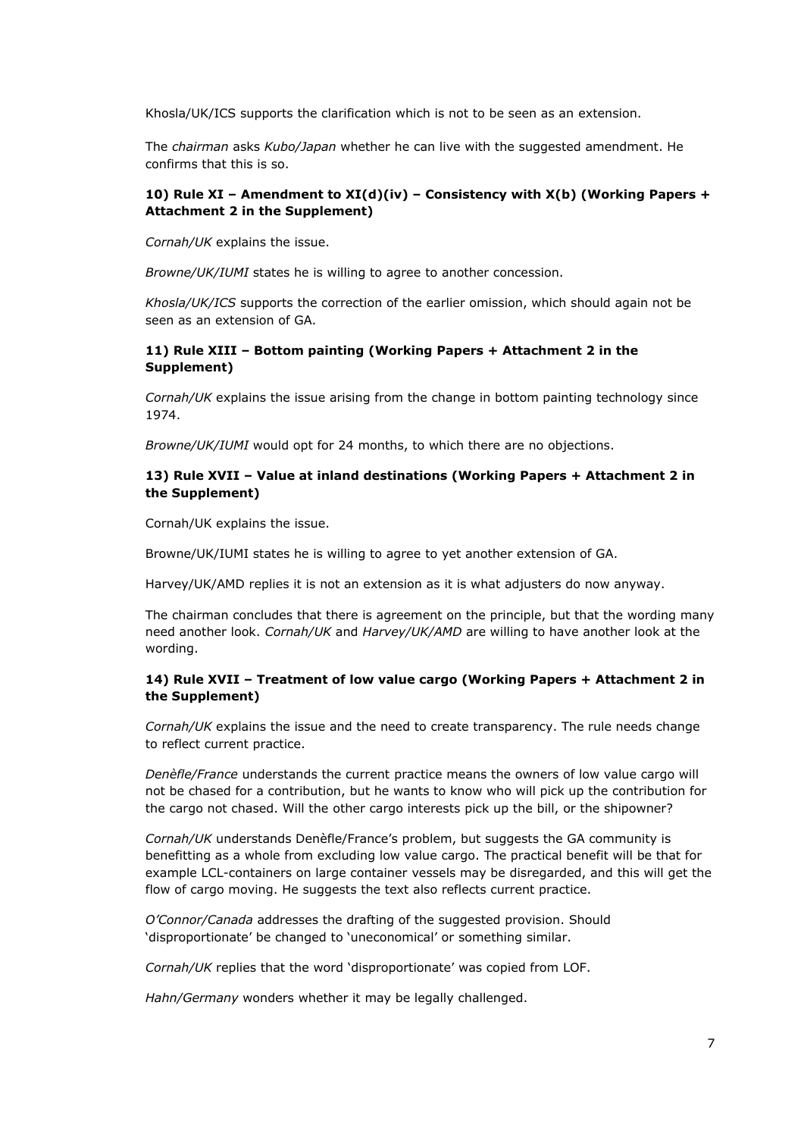Khosla/UK/ICS supports the clarification which is not to be seen as an extension.

The *chairman* asks *Kubo/Japan* whether he can live with the suggested amendment. He confirms that this is so.

#### **10) Rule XI – Amendment to XI(d)(iv) – Consistency with X(b) (Working Papers + Attachment 2 in the Supplement)**

*Cornah/UK* explains the issue.

*Browne/UK/IUMI* states he is willing to agree to another concession.

*Khosla/UK/ICS* supports the correction of the earlier omission, which should again not be seen as an extension of GA.

#### **11) Rule XIII – Bottom painting (Working Papers + Attachment 2 in the Supplement)**

*Cornah/UK* explains the issue arising from the change in bottom painting technology since 1974.

*Browne/UK/IUMI* would opt for 24 months, to which there are no objections.

#### **13) Rule XVII – Value at inland destinations (Working Papers + Attachment 2 in the Supplement)**

Cornah/UK explains the issue.

Browne/UK/IUMI states he is willing to agree to yet another extension of GA.

Harvey/UK/AMD replies it is not an extension as it is what adjusters do now anyway.

The chairman concludes that there is agreement on the principle, but that the wording many need another look. *Cornah/UK* and *Harvey/UK/AMD* are willing to have another look at the wording.

#### **14) Rule XVII – Treatment of low value cargo (Working Papers + Attachment 2 in the Supplement)**

*Cornah/UK* explains the issue and the need to create transparency. The rule needs change to reflect current practice.

*Denèfle/France* understands the current practice means the owners of low value cargo will not be chased for a contribution, but he wants to know who will pick up the contribution for the cargo not chased. Will the other cargo interests pick up the bill, or the shipowner?

*Cornah/UK* understands Denèfle/France's problem, but suggests the GA community is benefitting as a whole from excluding low value cargo. The practical benefit will be that for example LCL-containers on large container vessels may be disregarded, and this will get the flow of cargo moving. He suggests the text also reflects current practice.

*O'Connor/Canada* addresses the drafting of the suggested provision. Should 'disproportionate' be changed to 'uneconomical' or something similar.

*Cornah/UK* replies that the word 'disproportionate' was copied from LOF.

*Hahn/Germany* wonders whether it may be legally challenged.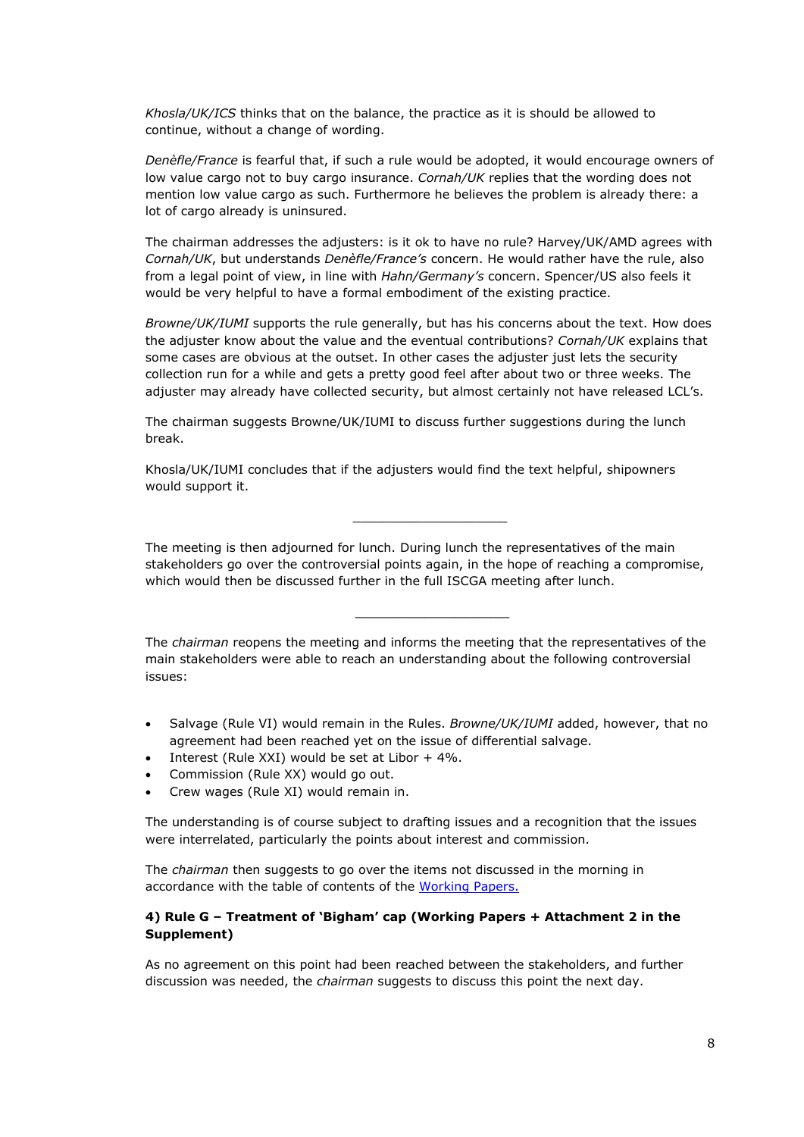*Khosla/UK/ICS* thinks that on the balance, the practice as it is should be allowed to continue, without a change of wording.

*Denèfle/France* is fearful that, if such a rule would be adopted, it would encourage owners of low value cargo not to buy cargo insurance. *Cornah/UK* replies that the wording does not mention low value cargo as such. Furthermore he believes the problem is already there: a lot of cargo already is uninsured.

The chairman addresses the adjusters: is it ok to have no rule? Harvey/UK/AMD agrees with *Cornah/UK*, but understands *Denèfle/France's* concern. He would rather have the rule, also from a legal point of view, in line with *Hahn/Germany's* concern. Spencer/US also feels it would be very helpful to have a formal embodiment of the existing practice.

*Browne/UK/IUMI* supports the rule generally, but has his concerns about the text. How does the adjuster know about the value and the eventual contributions? *Cornah/UK* explains that some cases are obvious at the outset. In other cases the adjuster just lets the security collection run for a while and gets a pretty good feel after about two or three weeks. The adjuster may already have collected security, but almost certainly not have released LCL's.

The chairman suggests Browne/UK/IUMI to discuss further suggestions during the lunch break.

Khosla/UK/IUMI concludes that if the adjusters would find the text helpful, shipowners would support it.

The meeting is then adjourned for lunch. During lunch the representatives of the main stakeholders go over the controversial points again, in the hope of reaching a compromise, which would then be discussed further in the full ISCGA meeting after lunch.

\_\_\_\_\_\_\_\_\_\_\_\_\_\_\_\_\_\_\_\_

The *chairman* reopens the meeting and informs the meeting that the representatives of the main stakeholders were able to reach an understanding about the following controversial issues:

\_\_\_\_\_\_\_\_\_\_\_\_\_\_\_\_\_\_\_\_

- Salvage (Rule VI) would remain in the Rules. *Browne/UK/IUMI* added, however, that no agreement had been reached yet on the issue of differential salvage.
- Interest (Rule XXI) would be set at Libor  $+4\%$ .
- Commission (Rule XX) would go out.
- Crew wages (Rule XI) would remain in.

The understanding is of course subject to drafting issues and a recognition that the issues were interrelated, particularly the points about interest and commission.

The *chairman* then suggests to go over the items not discussed in the morning in accordance with the table of contents of the [Working](http://www.comitemaritime.org/Uploads/Work%20In%20Progress/Rules%20of%20General%20Average/CMI_IWG_GA_ISCWorkingPaperIstanbul2015(final).pdf) [Papers](http://www.comitemaritime.org/Uploads/Work%20In%20Progress/Rules%20of%20General%20Average/CMI_IWG_GA_ISCWorkingPaperIstanbul2015(final).pdf).

#### **4) Rule G – Treatment of 'Bigham' cap (Working Papers + Attachment 2 in the Supplement)**

As no agreement on this point had been reached between the stakeholders, and further discussion was needed, the *chairman* suggests to discuss this point the next day.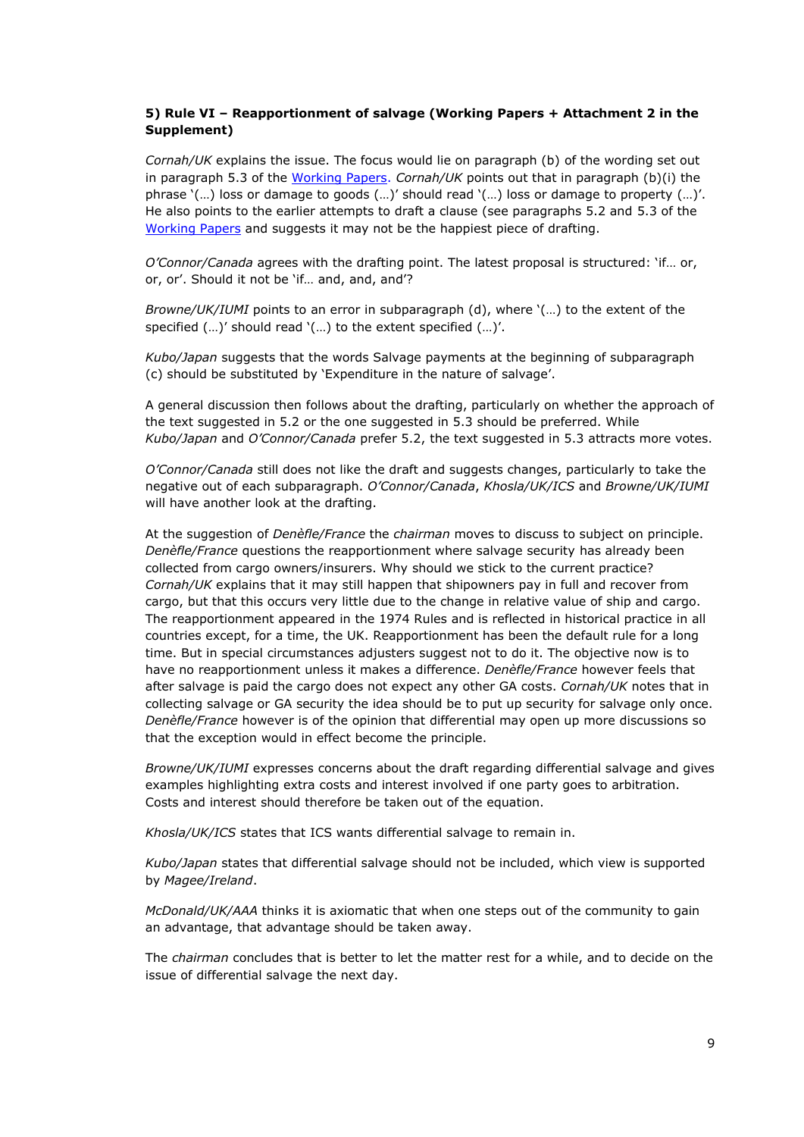### **5) Rule VI – Reapportionment of salvage (Working Papers + Attachment 2 in the Supplement)**

*Cornah/UK* explains the issue. The focus would lie on paragraph (b) of the wording set out in paragraph 5.3 of the [Working](http://www.comitemaritime.org/Uploads/Work%20In%20Progress/Rules%20of%20General%20Average/CMI_IWG_GA_ISCWorkingPaperIstanbul2015(final).pdf) [Papers.](http://www.comitemaritime.org/Uploads/Work%20In%20Progress/Rules%20of%20General%20Average/CMI_IWG_GA_ISCWorkingPaperIstanbul2015(final).pdf) *Cornah/UK* points out that in paragraph (b)(i) the phrase '(…) loss or damage to goods (…)' should read '(…) loss or damage to property (…)'. He also points to the earlier attempts to draft a clause (see paragraphs 5.2 and 5.3 of the [Working](http://www.comitemaritime.org/Uploads/Work%20In%20Progress/Rules%20of%20General%20Average/CMI_IWG_GA_ISCWorkingPaperIstanbul2015(final).pdf) [Papers](http://www.comitemaritime.org/Uploads/Work%20In%20Progress/Rules%20of%20General%20Average/CMI_IWG_GA_ISCWorkingPaperIstanbul2015(final).pdf) and suggests it may not be the happiest piece of drafting.

*O'Connor/Canada* agrees with the drafting point. The latest proposal is structured: 'if… or, or, or'. Should it not be 'if… and, and, and'?

*Browne/UK/IUMI* points to an error in subparagraph (d), where '(…) to the extent of the specified (…)' should read '(…) to the extent specified (…)'.

*Kubo/Japan* suggests that the words Salvage payments at the beginning of subparagraph (c) should be substituted by 'Expenditure in the nature of salvage'.

A general discussion then follows about the drafting, particularly on whether the approach of the text suggested in 5.2 or the one suggested in 5.3 should be preferred. While *Kubo/Japan* and *O'Connor/Canada* prefer 5.2, the text suggested in 5.3 attracts more votes.

*O'Connor/Canada* still does not like the draft and suggests changes, particularly to take the negative out of each subparagraph. *O'Connor/Canada*, *Khosla/UK/ICS* and *Browne/UK/IUMI* will have another look at the drafting.

At the suggestion of *Denèfle/France* the *chairman* moves to discuss to subject on principle. *Denèfle/France* questions the reapportionment where salvage security has already been collected from cargo owners/insurers. Why should we stick to the current practice? *Cornah/UK* explains that it may still happen that shipowners pay in full and recover from cargo, but that this occurs very little due to the change in relative value of ship and cargo. The reapportionment appeared in the 1974 Rules and is reflected in historical practice in all countries except, for a time, the UK. Reapportionment has been the default rule for a long time. But in special circumstances adjusters suggest not to do it. The objective now is to have no reapportionment unless it makes a difference. *Denèfle/France* however feels that after salvage is paid the cargo does not expect any other GA costs. *Cornah/UK* notes that in collecting salvage or GA security the idea should be to put up security for salvage only once. *Denèfle/France* however is of the opinion that differential may open up more discussions so that the exception would in effect become the principle.

*Browne/UK/IUMI* expresses concerns about the draft regarding differential salvage and gives examples highlighting extra costs and interest involved if one party goes to arbitration. Costs and interest should therefore be taken out of the equation.

*Khosla/UK/ICS* states that ICS wants differential salvage to remain in.

*Kubo/Japan* states that differential salvage should not be included, which view is supported by *Magee/Ireland*.

*McDonald/UK/AAA* thinks it is axiomatic that when one steps out of the community to gain an advantage, that advantage should be taken away.

The *chairman* concludes that is better to let the matter rest for a while, and to decide on the issue of differential salvage the next day.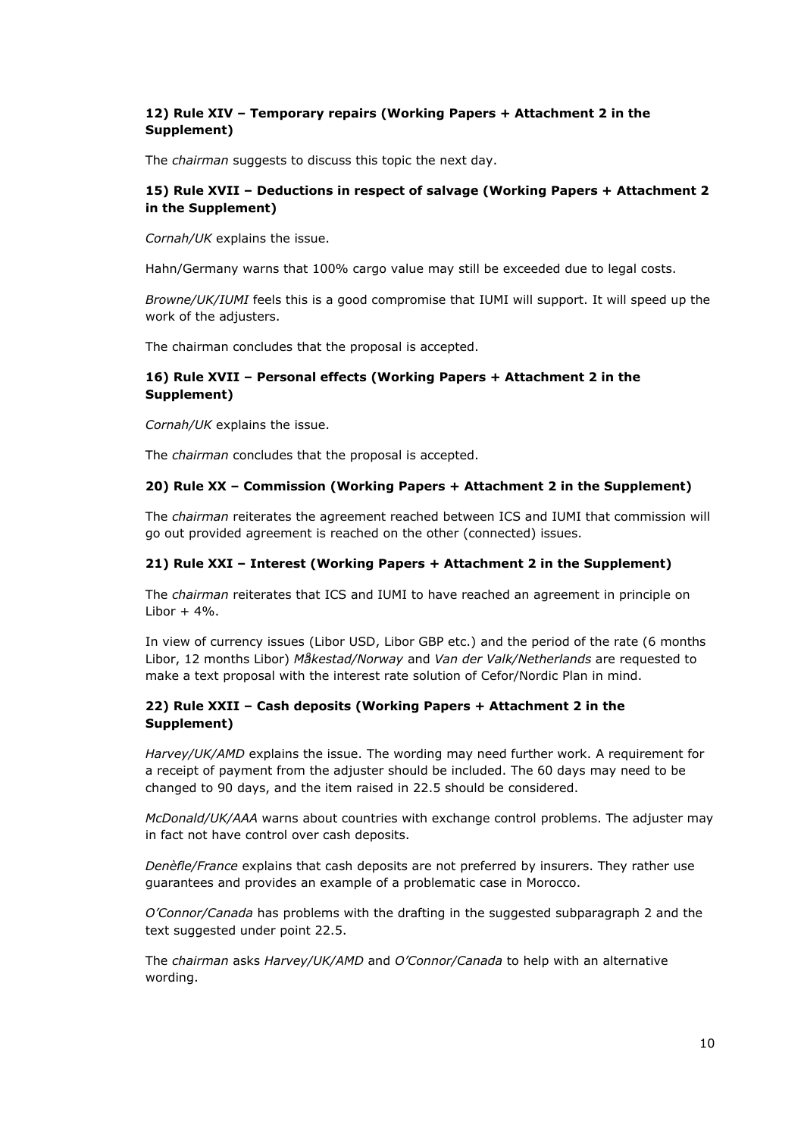### **12) Rule XIV – Temporary repairs (Working Papers + Attachment 2 in the Supplement)**

The *chairman* suggests to discuss this topic the next day.

### **15) Rule XVII – Deductions in respect of salvage (Working Papers + Attachment 2 in the Supplement)**

*Cornah/UK* explains the issue.

Hahn/Germany warns that 100% cargo value may still be exceeded due to legal costs.

*Browne/UK/IUMI* feels this is a good compromise that IUMI will support. It will speed up the work of the adjusters.

The chairman concludes that the proposal is accepted.

### **16) Rule XVII – Personal effects (Working Papers + Attachment 2 in the Supplement)**

*Cornah/UK* explains the issue.

The *chairman* concludes that the proposal is accepted.

### **20) Rule XX – Commission (Working Papers + Attachment 2 in the Supplement)**

The *chairman* reiterates the agreement reached between ICS and IUMI that commission will go out provided agreement is reached on the other (connected) issues.

#### **21) Rule XXI – Interest (Working Papers + Attachment 2 in the Supplement)**

The *chairman* reiterates that ICS and IUMI to have reached an agreement in principle on  $libor + 4\%$ .

In view of currency issues (Libor USD, Libor GBP etc.) and the period of the rate (6 months Libor, 12 months Libor) *Måkestad/Norway* and *Van der Valk/Netherlands* are requested to make a text proposal with the interest rate solution of Cefor/Nordic Plan in mind.

### **22) Rule XXII – Cash deposits (Working Papers + Attachment 2 in the Supplement)**

*Harvey/UK/AMD* explains the issue. The wording may need further work. A requirement for a receipt of payment from the adjuster should be included. The 60 days may need to be changed to 90 days, and the item raised in 22.5 should be considered.

*McDonald/UK/AAA* warns about countries with exchange control problems. The adjuster may in fact not have control over cash deposits.

*Denèfle/France* explains that cash deposits are not preferred by insurers. They rather use guarantees and provides an example of a problematic case in Morocco.

*O'Connor/Canada* has problems with the drafting in the suggested subparagraph 2 and the text suggested under point 22.5.

The *chairman* asks *Harvey/UK/AMD* and *O'Connor/Canada* to help with an alternative wording.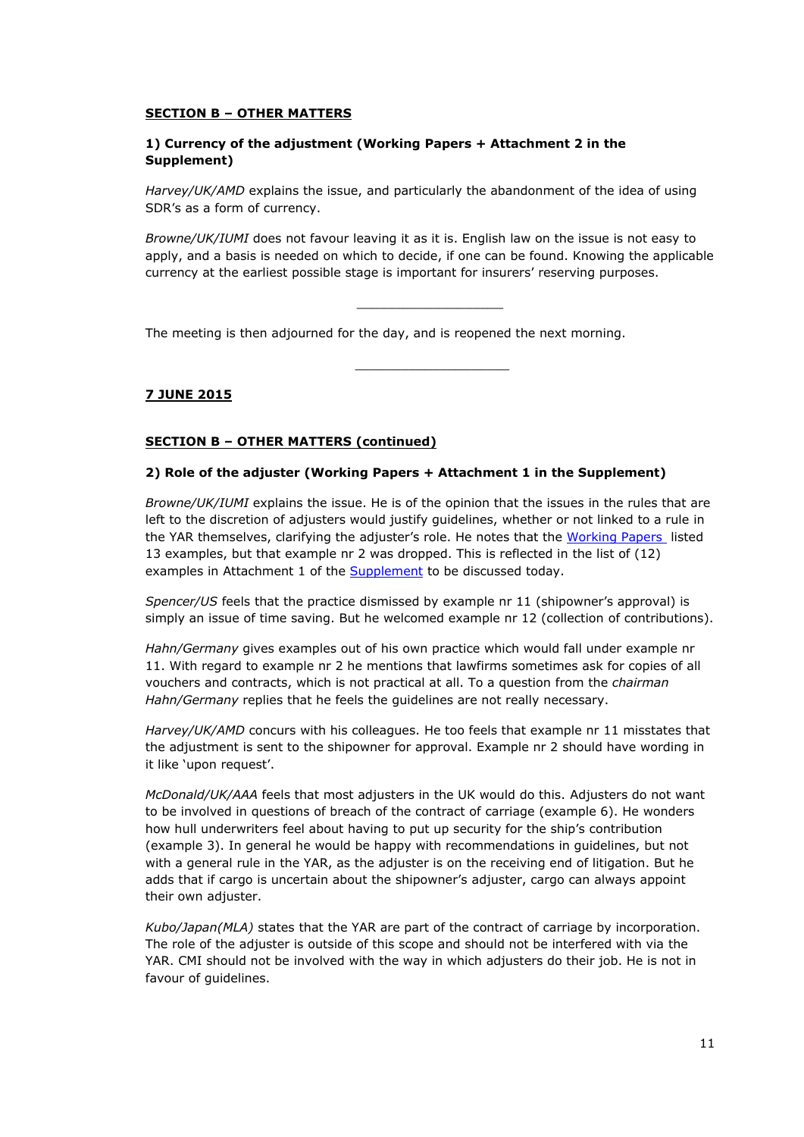### **SECTION B – OTHER MATTERS**

### **1) Currency of the adjustment (Working Papers + Attachment 2 in the Supplement)**

*Harvey/UK/AMD* explains the issue, and particularly the abandonment of the idea of using SDR's as a form of currency.

*Browne/UK/IUMI* does not favour leaving it as it is. English law on the issue is not easy to apply, and a basis is needed on which to decide, if one can be found. Knowing the applicable currency at the earliest possible stage is important for insurers' reserving purposes.

\_\_\_\_\_\_\_\_\_\_\_\_\_\_\_\_\_\_\_

\_\_\_\_\_\_\_\_\_\_\_\_\_\_\_\_\_\_\_\_

The meeting is then adjourned for the day, and is reopened the next morning.

# **7 JUNE 2015**

### **SECTION B – OTHER MATTERS (continued)**

### **2) Role of the adjuster (Working Papers + Attachment 1 in the Supplement)**

*Browne/UK/IUMI* explains the issue. He is of the opinion that the issues in the rules that are left to the discretion of adjusters would justify guidelines, whether or not linked to a rule in the YAR themselves, clarifying the adjuster's role. He notes that the [Working](http://www.comitemaritime.org/Uploads/Work%20In%20Progress/Rules%20of%20General%20Average/CMI_IWG_GA_ISCWorkingPaperIstanbul2015(final).pdf) [Papers](http://www.comitemaritime.org/Uploads/Work%20In%20Progress/Rules%20of%20General%20Average/CMI_IWG_GA_ISCWorkingPaperIstanbul2015(final).pdf) listed 13 examples, but that example nr 2 was dropped. This is reflected in the list of (12) examples in Attachment 1 of the **[Supplement](http://www.comitemaritime.org/Uploads/Work%20In%20Progress/Rules%20of%20General%20Average/CMI%20IWG%20ISC%20General%20Average%20-%20Working%20Paper%20Istanbul%202015%20(Supplement).pdf)** to be discussed today.

*Spencer/US* feels that the practice dismissed by example nr 11 (shipowner's approval) is simply an issue of time saving. But he welcomed example nr 12 (collection of contributions).

*Hahn/Germany* gives examples out of his own practice which would fall under example nr 11. With regard to example nr 2 he mentions that lawfirms sometimes ask for copies of all vouchers and contracts, which is not practical at all. To a question from the *chairman Hahn/Germany* replies that he feels the guidelines are not really necessary.

*Harvey/UK/AMD* concurs with his colleagues. He too feels that example nr 11 misstates that the adjustment is sent to the shipowner for approval. Example nr 2 should have wording in it like 'upon request'.

*McDonald/UK/AAA* feels that most adjusters in the UK would do this. Adjusters do not want to be involved in questions of breach of the contract of carriage (example 6). He wonders how hull underwriters feel about having to put up security for the ship's contribution (example 3). In general he would be happy with recommendations in guidelines, but not with a general rule in the YAR, as the adjuster is on the receiving end of litigation. But he adds that if cargo is uncertain about the shipowner's adjuster, cargo can always appoint their own adjuster.

*Kubo/Japan(MLA)* states that the YAR are part of the contract of carriage by incorporation. The role of the adjuster is outside of this scope and should not be interfered with via the YAR. CMI should not be involved with the way in which adjusters do their job. He is not in favour of guidelines.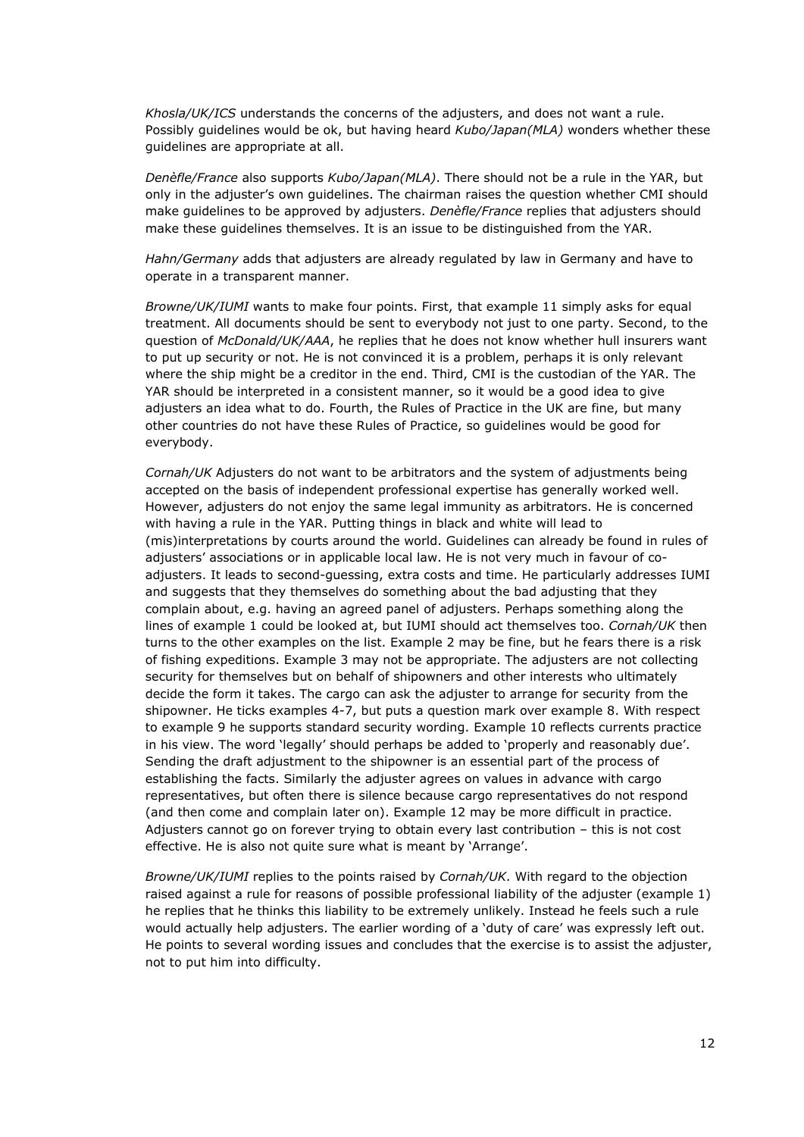*Khosla/UK/ICS* understands the concerns of the adjusters, and does not want a rule. Possibly guidelines would be ok, but having heard *Kubo/Japan(MLA)* wonders whether these guidelines are appropriate at all.

*Denèfle/France* also supports *Kubo/Japan(MLA)*. There should not be a rule in the YAR, but only in the adjuster's own guidelines. The chairman raises the question whether CMI should make guidelines to be approved by adjusters. *Denèfle/France* replies that adjusters should make these guidelines themselves. It is an issue to be distinguished from the YAR.

*Hahn/Germany* adds that adjusters are already regulated by law in Germany and have to operate in a transparent manner.

*Browne/UK/IUMI* wants to make four points. First, that example 11 simply asks for equal treatment. All documents should be sent to everybody not just to one party. Second, to the question of *McDonald/UK/AAA*, he replies that he does not know whether hull insurers want to put up security or not. He is not convinced it is a problem, perhaps it is only relevant where the ship might be a creditor in the end. Third, CMI is the custodian of the YAR. The YAR should be interpreted in a consistent manner, so it would be a good idea to give adjusters an idea what to do. Fourth, the Rules of Practice in the UK are fine, but many other countries do not have these Rules of Practice, so guidelines would be good for everybody.

*Cornah/UK* Adjusters do not want to be arbitrators and the system of adjustments being accepted on the basis of independent professional expertise has generally worked well. However, adjusters do not enjoy the same legal immunity as arbitrators. He is concerned with having a rule in the YAR. Putting things in black and white will lead to (mis)interpretations by courts around the world. Guidelines can already be found in rules of adjusters' associations or in applicable local law. He is not very much in favour of coadjusters. It leads to second-guessing, extra costs and time. He particularly addresses IUMI and suggests that they themselves do something about the bad adjusting that they complain about, e.g. having an agreed panel of adjusters. Perhaps something along the lines of example 1 could be looked at, but IUMI should act themselves too. *Cornah/UK* then turns to the other examples on the list. Example 2 may be fine, but he fears there is a risk of fishing expeditions. Example 3 may not be appropriate. The adjusters are not collecting security for themselves but on behalf of shipowners and other interests who ultimately decide the form it takes. The cargo can ask the adjuster to arrange for security from the shipowner. He ticks examples 4-7, but puts a question mark over example 8. With respect to example 9 he supports standard security wording. Example 10 reflects currents practice in his view. The word 'legally' should perhaps be added to 'properly and reasonably due'. Sending the draft adjustment to the shipowner is an essential part of the process of establishing the facts. Similarly the adjuster agrees on values in advance with cargo representatives, but often there is silence because cargo representatives do not respond (and then come and complain later on). Example 12 may be more difficult in practice. Adjusters cannot go on forever trying to obtain every last contribution – this is not cost effective. He is also not quite sure what is meant by 'Arrange'.

*Browne/UK/IUMI* replies to the points raised by *Cornah/UK*. With regard to the objection raised against a rule for reasons of possible professional liability of the adjuster (example 1) he replies that he thinks this liability to be extremely unlikely. Instead he feels such a rule would actually help adjusters. The earlier wording of a 'duty of care' was expressly left out. He points to several wording issues and concludes that the exercise is to assist the adjuster, not to put him into difficulty.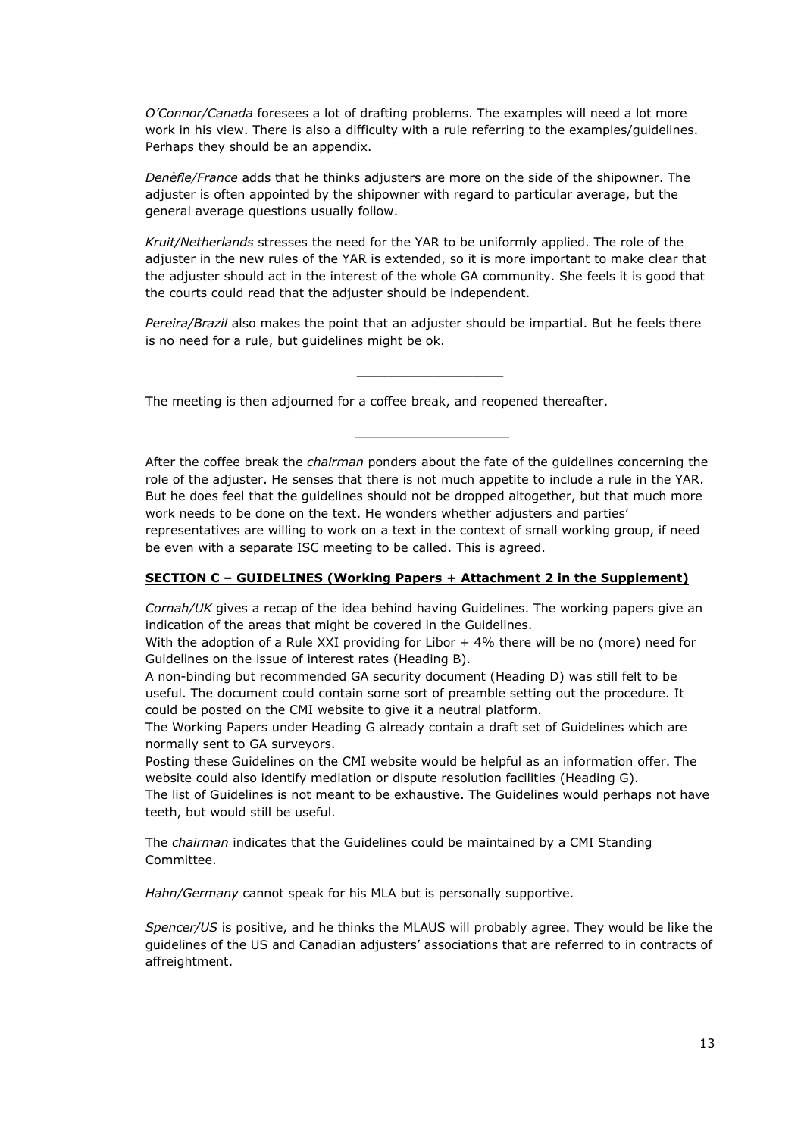*O'Connor/Canada* foresees a lot of drafting problems. The examples will need a lot more work in his view. There is also a difficulty with a rule referring to the examples/guidelines. Perhaps they should be an appendix.

*Denèfle/France* adds that he thinks adjusters are more on the side of the shipowner. The adjuster is often appointed by the shipowner with regard to particular average, but the general average questions usually follow.

*Kruit/Netherlands* stresses the need for the YAR to be uniformly applied. The role of the adjuster in the new rules of the YAR is extended, so it is more important to make clear that the adjuster should act in the interest of the whole GA community. She feels it is good that the courts could read that the adjuster should be independent.

*Pereira/Brazil* also makes the point that an adjuster should be impartial. But he feels there is no need for a rule, but guidelines might be ok.

\_\_\_\_\_\_\_\_\_\_\_\_\_\_\_\_\_\_\_

\_\_\_\_\_\_\_\_\_\_\_\_\_\_\_\_\_\_\_\_

The meeting is then adjourned for a coffee break, and reopened thereafter.

After the coffee break the *chairman* ponders about the fate of the guidelines concerning the role of the adjuster. He senses that there is not much appetite to include a rule in the YAR. But he does feel that the guidelines should not be dropped altogether, but that much more work needs to be done on the text. He wonders whether adjusters and parties' representatives are willing to work on a text in the context of small working group, if need be even with a separate ISC meeting to be called. This is agreed.

#### **SECTION C – GUIDELINES (Working Papers + Attachment 2 in the Supplement)**

*Cornah/UK* gives a recap of the idea behind having Guidelines. The working papers give an indication of the areas that might be covered in the Guidelines.

With the adoption of a Rule XXI providing for Libor + 4% there will be no (more) need for Guidelines on the issue of interest rates (Heading B).

A non-binding but recommended GA security document (Heading D) was still felt to be useful. The document could contain some sort of preamble setting out the procedure. It could be posted on the CMI website to give it a neutral platform.

The Working Papers under Heading G already contain a draft set of Guidelines which are normally sent to GA surveyors.

Posting these Guidelines on the CMI website would be helpful as an information offer. The website could also identify mediation or dispute resolution facilities (Heading G).

The list of Guidelines is not meant to be exhaustive. The Guidelines would perhaps not have teeth, but would still be useful.

The *chairman* indicates that the Guidelines could be maintained by a CMI Standing Committee.

*Hahn/Germany* cannot speak for his MLA but is personally supportive.

*Spencer/US* is positive, and he thinks the MLAUS will probably agree. They would be like the guidelines of the US and Canadian adjusters' associations that are referred to in contracts of affreightment.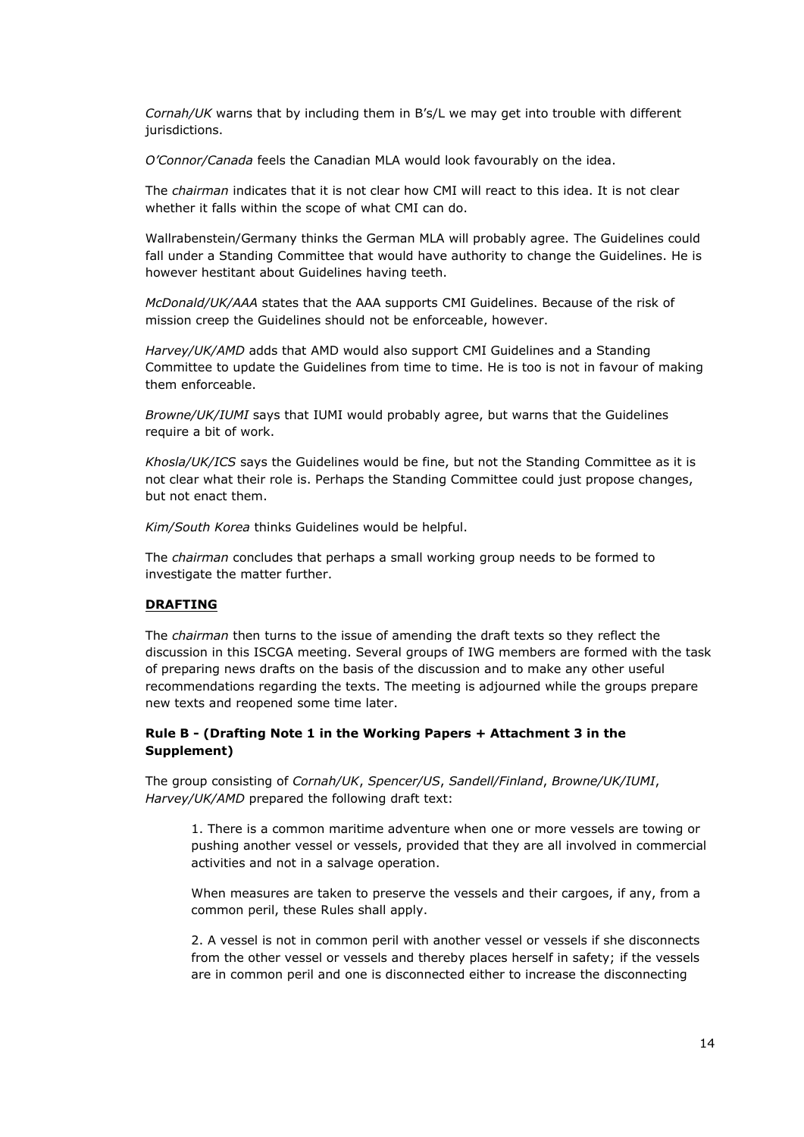*Cornah/UK* warns that by including them in B's/L we may get into trouble with different jurisdictions.

*O'Connor/Canada* feels the Canadian MLA would look favourably on the idea.

The *chairman* indicates that it is not clear how CMI will react to this idea. It is not clear whether it falls within the scope of what CMI can do.

Wallrabenstein/Germany thinks the German MLA will probably agree. The Guidelines could fall under a Standing Committee that would have authority to change the Guidelines. He is however hestitant about Guidelines having teeth.

*McDonald/UK/AAA* states that the AAA supports CMI Guidelines. Because of the risk of mission creep the Guidelines should not be enforceable, however.

*Harvey/UK/AMD* adds that AMD would also support CMI Guidelines and a Standing Committee to update the Guidelines from time to time. He is too is not in favour of making them enforceable.

*Browne/UK/IUMI* says that IUMI would probably agree, but warns that the Guidelines require a bit of work.

*Khosla/UK/ICS* says the Guidelines would be fine, but not the Standing Committee as it is not clear what their role is. Perhaps the Standing Committee could just propose changes, but not enact them.

*Kim/South Korea* thinks Guidelines would be helpful.

The *chairman* concludes that perhaps a small working group needs to be formed to investigate the matter further.

#### **DRAFTING**

The *chairman* then turns to the issue of amending the draft texts so they reflect the discussion in this ISCGA meeting. Several groups of IWG members are formed with the task of preparing news drafts on the basis of the discussion and to make any other useful recommendations regarding the texts. The meeting is adjourned while the groups prepare new texts and reopened some time later.

### **Rule B - (Drafting Note 1 in the Working Papers + Attachment 3 in the Supplement)**

The group consisting of *Cornah/UK*, *Spencer/US*, *Sandell/Finland*, *Browne/UK/IUMI*, *Harvey/UK/AMD* prepared the following draft text:

1. There is a common maritime adventure when one or more vessels are towing or pushing another vessel or vessels, provided that they are all involved in commercial activities and not in a salvage operation.

When measures are taken to preserve the vessels and their cargoes, if any, from a common peril, these Rules shall apply.

2. A vessel is not in common peril with another vessel or vessels if she disconnects from the other vessel or vessels and thereby places herself in safety; if the vessels are in common peril and one is disconnected either to increase the disconnecting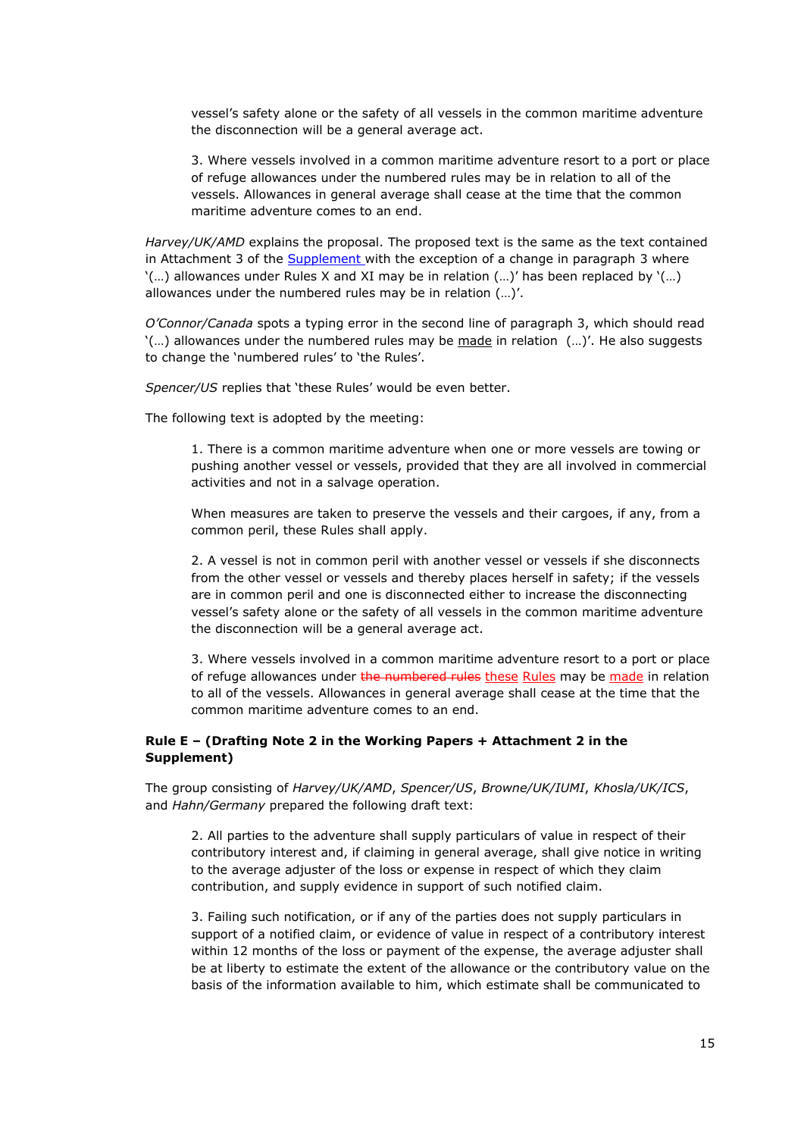vessel's safety alone or the safety of all vessels in the common maritime adventure the disconnection will be a general average act.

3. Where vessels involved in a common maritime adventure resort to a port or place of refuge allowances under the numbered rules may be in relation to all of the vessels. Allowances in general average shall cease at the time that the common maritime adventure comes to an end.

*Harvey/UK/AMD* explains the proposal. The proposed text is the same as the text contained in Attachment 3 of the **[Supplement](http://www.comitemaritime.org/Uploads/Work%20In%20Progress/Rules%20of%20General%20Average/CMI%20IWG%20ISC%20General%20Average%20-%20Working%20Paper%20Istanbul%202015%20(Supplement).pdf)** with the exception of a change in paragraph 3 where  $'$ ...) allowances under Rules X and XI may be in relation  $(...)$  has been replaced by  $'$ ...) allowances under the numbered rules may be in relation (…)'.

*O'Connor/Canada* spots a typing error in the second line of paragraph 3, which should read '(…) allowances under the numbered rules may be made in relation (…)'. He also suggests to change the 'numbered rules' to 'the Rules'.

*Spencer/US* replies that 'these Rules' would be even better.

The following text is adopted by the meeting:

1. There is a common maritime adventure when one or more vessels are towing or pushing another vessel or vessels, provided that they are all involved in commercial activities and not in a salvage operation.

When measures are taken to preserve the vessels and their cargoes, if any, from a common peril, these Rules shall apply.

2. A vessel is not in common peril with another vessel or vessels if she disconnects from the other vessel or vessels and thereby places herself in safety; if the vessels are in common peril and one is disconnected either to increase the disconnecting vessel's safety alone or the safety of all vessels in the common maritime adventure the disconnection will be a general average act.

3. Where vessels involved in a common maritime adventure resort to a port or place of refuge allowances under the numbered rules these Rules may be made in relation to all of the vessels. Allowances in general average shall cease at the time that the common maritime adventure comes to an end.

#### **Rule E – (Drafting Note 2 in the Working Papers + Attachment 2 in the Supplement)**

The group consisting of *Harvey/UK/AMD*, *Spencer/US*, *Browne/UK/IUMI*, *Khosla/UK/ICS*, and *Hahn/Germany* prepared the following draft text:

2. All parties to the adventure shall supply particulars of value in respect of their contributory interest and, if claiming in general average, shall give notice in writing to the average adjuster of the loss or expense in respect of which they claim contribution, and supply evidence in support of such notified claim.

3. Failing such notification, or if any of the parties does not supply particulars in support of a notified claim, or evidence of value in respect of a contributory interest within 12 months of the loss or payment of the expense, the average adjuster shall be at liberty to estimate the extent of the allowance or the contributory value on the basis of the information available to him, which estimate shall be communicated to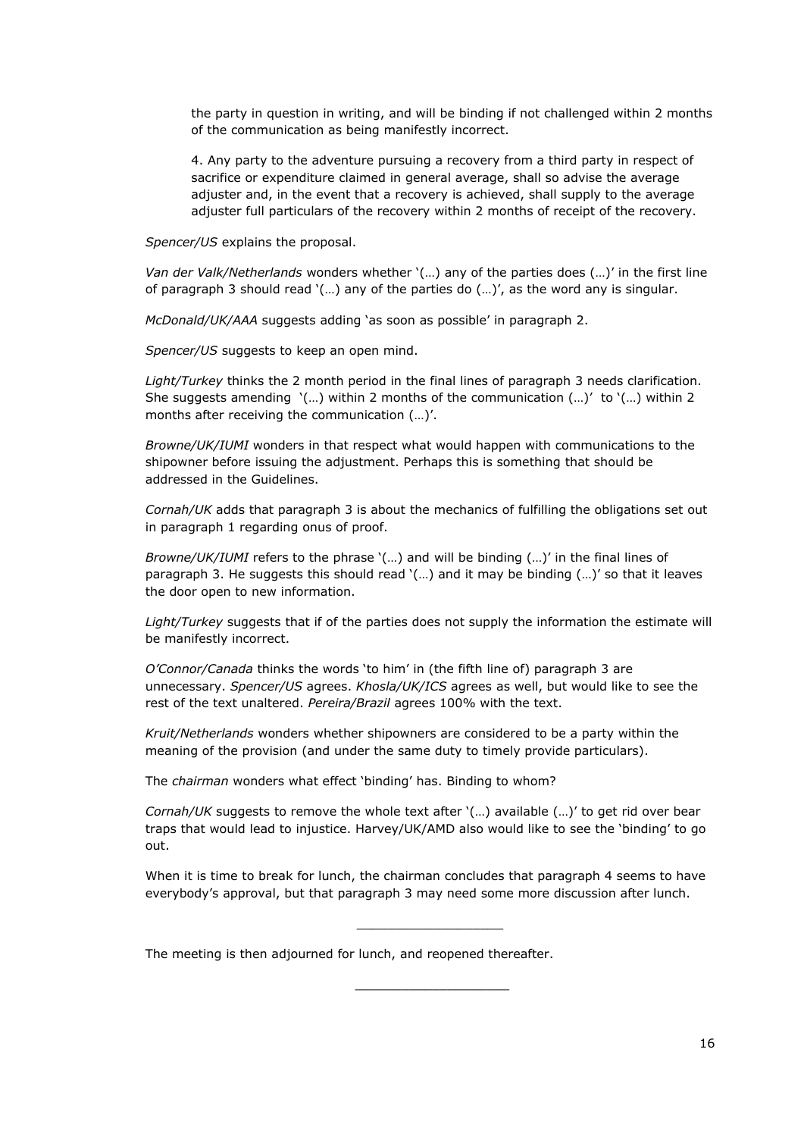the party in question in writing, and will be binding if not challenged within 2 months of the communication as being manifestly incorrect.

4. Any party to the adventure pursuing a recovery from a third party in respect of sacrifice or expenditure claimed in general average, shall so advise the average adjuster and, in the event that a recovery is achieved, shall supply to the average adjuster full particulars of the recovery within 2 months of receipt of the recovery.

*Spencer/US* explains the proposal.

*Van der Valk/Netherlands* wonders whether '(…) any of the parties does (…)' in the first line of paragraph 3 should read '(…) any of the parties do (…)', as the word any is singular.

*McDonald/UK/AAA* suggests adding 'as soon as possible' in paragraph 2.

*Spencer/US* suggests to keep an open mind.

*Light/Turkey* thinks the 2 month period in the final lines of paragraph 3 needs clarification. She suggests amending  $'(...)$  within 2 months of the communication  $(...)'$  to  $'(...)$  within 2 months after receiving the communication (…)'.

*Browne/UK/IUMI* wonders in that respect what would happen with communications to the shipowner before issuing the adjustment. Perhaps this is something that should be addressed in the Guidelines.

*Cornah/UK* adds that paragraph 3 is about the mechanics of fulfilling the obligations set out in paragraph 1 regarding onus of proof.

*Browne/UK/IUMI* refers to the phrase '(…) and will be binding (…)' in the final lines of paragraph 3. He suggests this should read '(…) and it may be binding (…)' so that it leaves the door open to new information.

*Light/Turkey* suggests that if of the parties does not supply the information the estimate will be manifestly incorrect.

*O'Connor/Canada* thinks the words 'to him' in (the fifth line of) paragraph 3 are unnecessary. *Spencer/US* agrees. *Khosla/UK/ICS* agrees as well, but would like to see the rest of the text unaltered. *Pereira/Brazil* agrees 100% with the text.

*Kruit/Netherlands* wonders whether shipowners are considered to be a party within the meaning of the provision (and under the same duty to timely provide particulars).

The *chairman* wonders what effect 'binding' has. Binding to whom?

*Cornah/UK* suggests to remove the whole text after '(…) available (…)' to get rid over bear traps that would lead to injustice. Harvey/UK/AMD also would like to see the 'binding' to go out.

When it is time to break for lunch, the chairman concludes that paragraph 4 seems to have everybody's approval, but that paragraph 3 may need some more discussion after lunch.

\_\_\_\_\_\_\_\_\_\_\_\_\_\_\_\_\_\_\_

\_\_\_\_\_\_\_\_\_\_\_\_\_\_\_\_\_\_\_\_

The meeting is then adjourned for lunch, and reopened thereafter.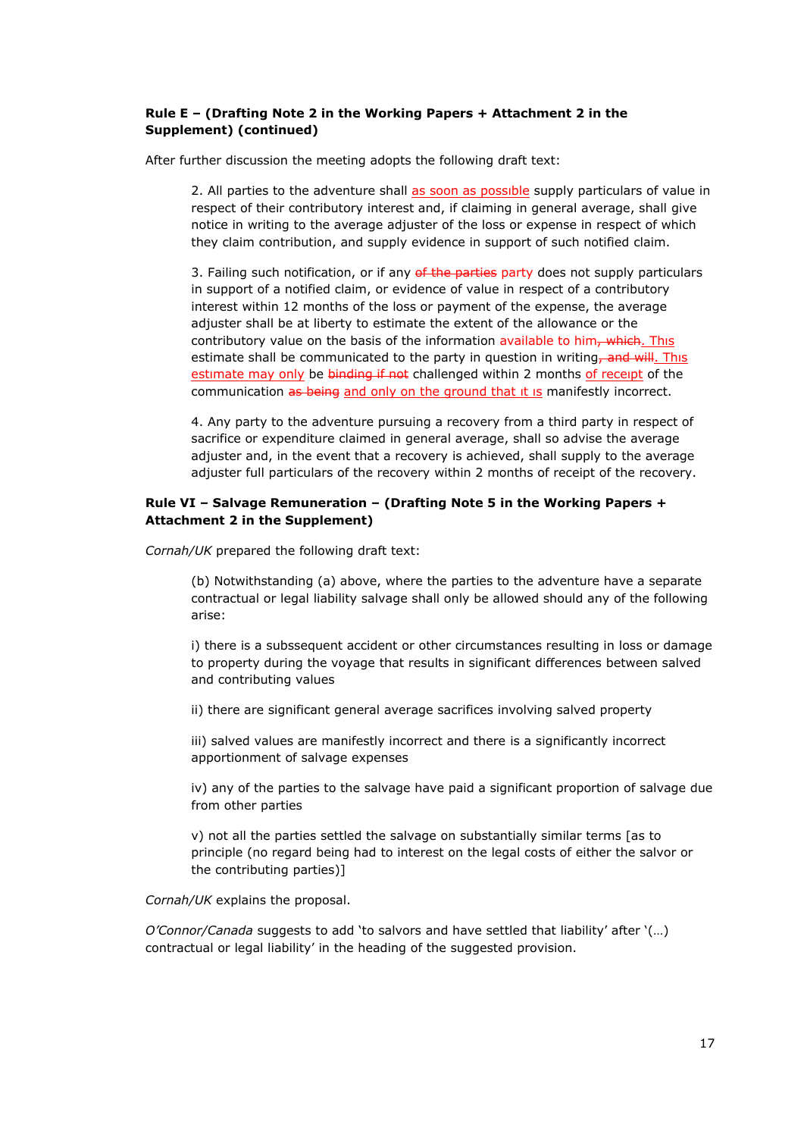### **Rule E – (Drafting Note 2 in the Working Papers + Attachment 2 in the Supplement) (continued)**

After further discussion the meeting adopts the following draft text:

2. All parties to the adventure shall as soon as possible supply particulars of value in respect of their contributory interest and, if claiming in general average, shall give notice in writing to the average adjuster of the loss or expense in respect of which they claim contribution, and supply evidence in support of such notified claim.

3. Failing such notification, or if any of the parties party does not supply particulars in support of a notified claim, or evidence of value in respect of a contributory interest within 12 months of the loss or payment of the expense, the average adjuster shall be at liberty to estimate the extent of the allowance or the contributory value on the basis of the information available to him, which. This estimate shall be communicated to the party in question in writing, and will. This estimate may only be binding if not challenged within 2 months of receipt of the communication as being and only on the ground that it is manifestly incorrect.

4. Any party to the adventure pursuing a recovery from a third party in respect of sacrifice or expenditure claimed in general average, shall so advise the average adjuster and, in the event that a recovery is achieved, shall supply to the average adjuster full particulars of the recovery within 2 months of receipt of the recovery.

#### **Rule VI – Salvage Remuneration – (Drafting Note 5 in the Working Papers + Attachment 2 in the Supplement)**

*Cornah/UK* prepared the following draft text:

(b) Notwithstanding (a) above, where the parties to the adventure have a separate contractual or legal liability salvage shall only be allowed should any of the following arise:

i) there is a subssequent accident or other circumstances resulting in loss or damage to property during the voyage that results in significant differences between salved and contributing values

ii) there are significant general average sacrifices involving salved property

iii) salved values are manifestly incorrect and there is a significantly incorrect apportionment of salvage expenses

iv) any of the parties to the salvage have paid a significant proportion of salvage due from other parties

v) not all the parties settled the salvage on substantially similar terms [as to principle (no regard being had to interest on the legal costs of either the salvor or the contributing parties)]

*Cornah/UK* explains the proposal.

*O'Connor/Canada* suggests to add 'to salvors and have settled that liability' after '(…) contractual or legal liability' in the heading of the suggested provision.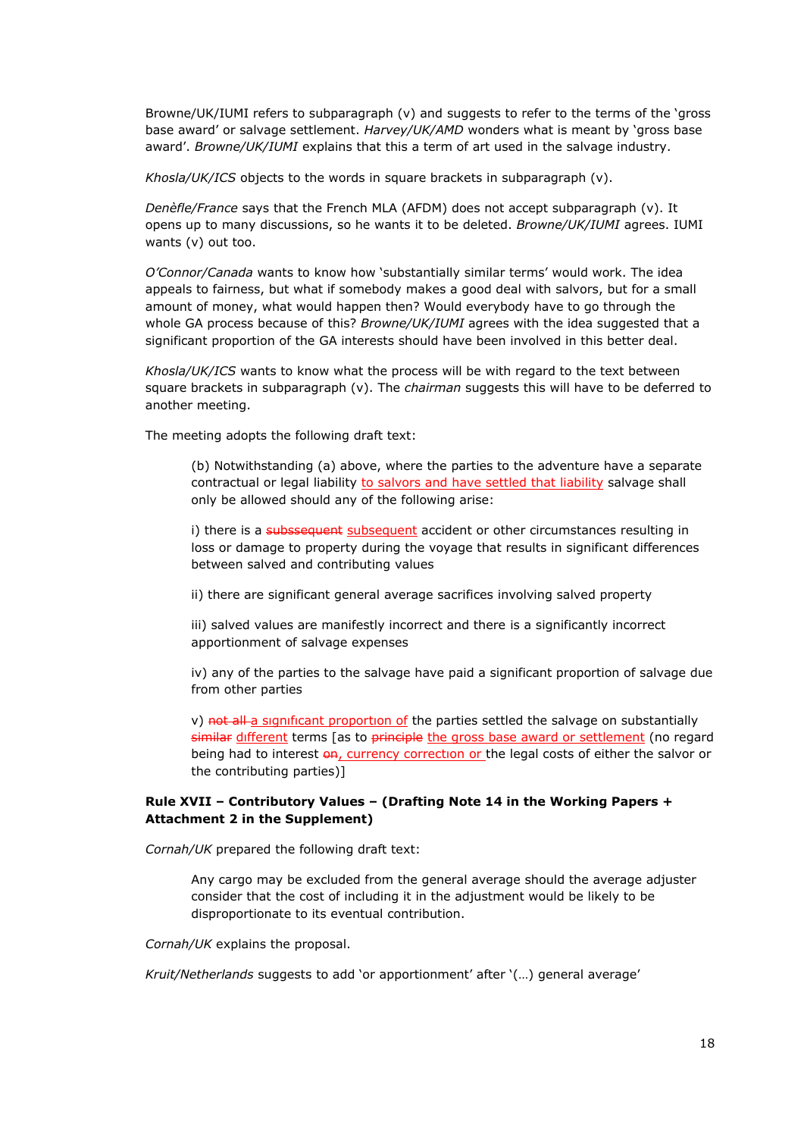Browne/UK/IUMI refers to subparagraph (v) and suggests to refer to the terms of the 'gross base award' or salvage settlement. *Harvey/UK/AMD* wonders what is meant by 'gross base award'. *Browne/UK/IUMI* explains that this a term of art used in the salvage industry.

*Khosla/UK/ICS* objects to the words in square brackets in subparagraph (v).

*Denèfle/France* says that the French MLA (AFDM) does not accept subparagraph (v). It opens up to many discussions, so he wants it to be deleted. *Browne/UK/IUMI* agrees. IUMI wants (v) out too.

*O'Connor/Canada* wants to know how 'substantially similar terms' would work. The idea appeals to fairness, but what if somebody makes a good deal with salvors, but for a small amount of money, what would happen then? Would everybody have to go through the whole GA process because of this? *Browne/UK/IUMI* agrees with the idea suggested that a significant proportion of the GA interests should have been involved in this better deal.

*Khosla/UK/ICS* wants to know what the process will be with regard to the text between square brackets in subparagraph (v). The *chairman* suggests this will have to be deferred to another meeting.

The meeting adopts the following draft text:

(b) Notwithstanding (a) above, where the parties to the adventure have a separate contractual or legal liability to salvors and have settled that liability salvage shall only be allowed should any of the following arise:

i) there is a subssequent subsequent accident or other circumstances resulting in loss or damage to property during the voyage that results in significant differences between salved and contributing values

ii) there are significant general average sacrifices involving salved property

iii) salved values are manifestly incorrect and there is a significantly incorrect apportionment of salvage expenses

iv) any of the parties to the salvage have paid a significant proportion of salvage due from other parties

v) not all a significant proportion of the parties settled the salvage on substantially similar different terms [as to principle the gross base award or settlement (no regard being had to interest  $\Theta$ <sup>2</sup>, currency correction or the legal costs of either the salvor or the contributing parties)]

#### **Rule XVII – Contributory Values – (Drafting Note 14 in the Working Papers + Attachment 2 in the Supplement)**

*Cornah/UK* prepared the following draft text:

Any cargo may be excluded from the general average should the average adjuster consider that the cost of including it in the adjustment would be likely to be disproportionate to its eventual contribution.

*Cornah/UK* explains the proposal.

*Kruit/Netherlands* suggests to add 'or apportionment' after '(…) general average'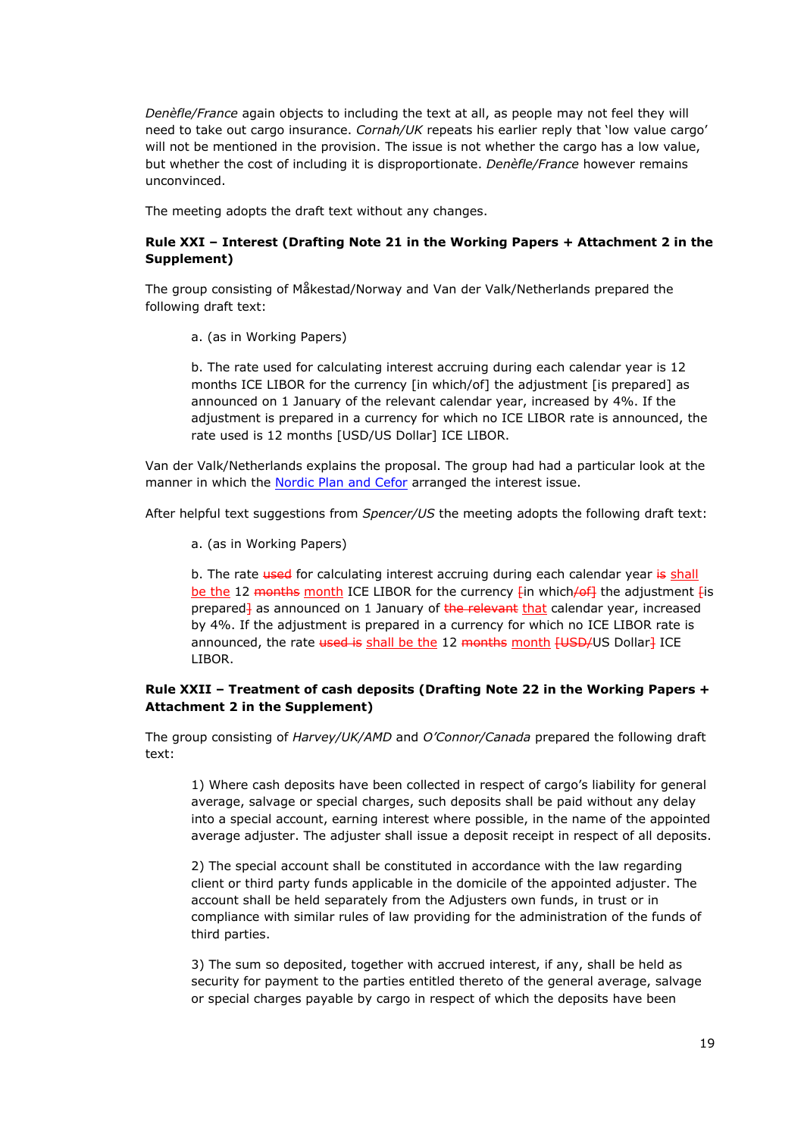*Denèfle/France* again objects to including the text at all, as people may not feel they will need to take out cargo insurance. *Cornah/UK* repeats his earlier reply that 'low value cargo' will not be mentioned in the provision. The issue is not whether the cargo has a low value, but whether the cost of including it is disproportionate. *Denèfle/France* however remains unconvinced.

The meeting adopts the draft text without any changes.

# **Rule XXI – Interest (Drafting Note 21 in the Working Papers + Attachment 2 in the Supplement)**

The group consisting of Måkestad/Norway and Van der Valk/Netherlands prepared the following draft text:

a. (as in Working Papers)

b. The rate used for calculating interest accruing during each calendar year is 12 months ICE LIBOR for the currency [in which/of] the adjustment [is prepared] as announced on 1 January of the relevant calendar year, increased by 4%. If the adjustment is prepared in a currency for which no ICE LIBOR rate is announced, the rate used is 12 months [USD/US Dollar] ICE LIBOR.

Van der Valk/Netherlands explains the proposal. The group had had a particular look at the manner in which the [Nordic](http://www.cefor.no/Clauses/Interest-Rates/) [Plan](http://www.cefor.no/Clauses/Interest-Rates/) [and](http://www.cefor.no/Clauses/Interest-Rates/) [Cefor](http://www.cefor.no/Clauses/Interest-Rates/) arranged the interest issue.

After helpful text suggestions from *Spencer/US* the meeting adopts the following draft text:

a. (as in Working Papers)

b. The rate used for calculating interest accruing during each calendar year is shall be the 12 months month ICE LIBOR for the currency  $\lim_{h \to 0}$  which/of] the adjustment  $\lim_{h \to 0}$ prepared<sup>1</sup> as announced on 1 January of the relevant that calendar year, increased by 4%. If the adjustment is prepared in a currency for which no ICE LIBOR rate is announced, the rate used is shall be the 12 months month [USD/US Dollar] ICE LIBOR.

### **Rule XXII – Treatment of cash deposits (Drafting Note 22 in the Working Papers + Attachment 2 in the Supplement)**

The group consisting of *Harvey/UK/AMD* and *O'Connor/Canada* prepared the following draft text:

1) Where cash deposits have been collected in respect of cargo's liability for general average, salvage or special charges, such deposits shall be paid without any delay into a special account, earning interest where possible, in the name of the appointed average adjuster. The adjuster shall issue a deposit receipt in respect of all deposits.

2) The special account shall be constituted in accordance with the law regarding client or third party funds applicable in the domicile of the appointed adjuster. The account shall be held separately from the Adjusters own funds, in trust or in compliance with similar rules of law providing for the administration of the funds of third parties.

3) The sum so deposited, together with accrued interest, if any, shall be held as security for payment to the parties entitled thereto of the general average, salvage or special charges payable by cargo in respect of which the deposits have been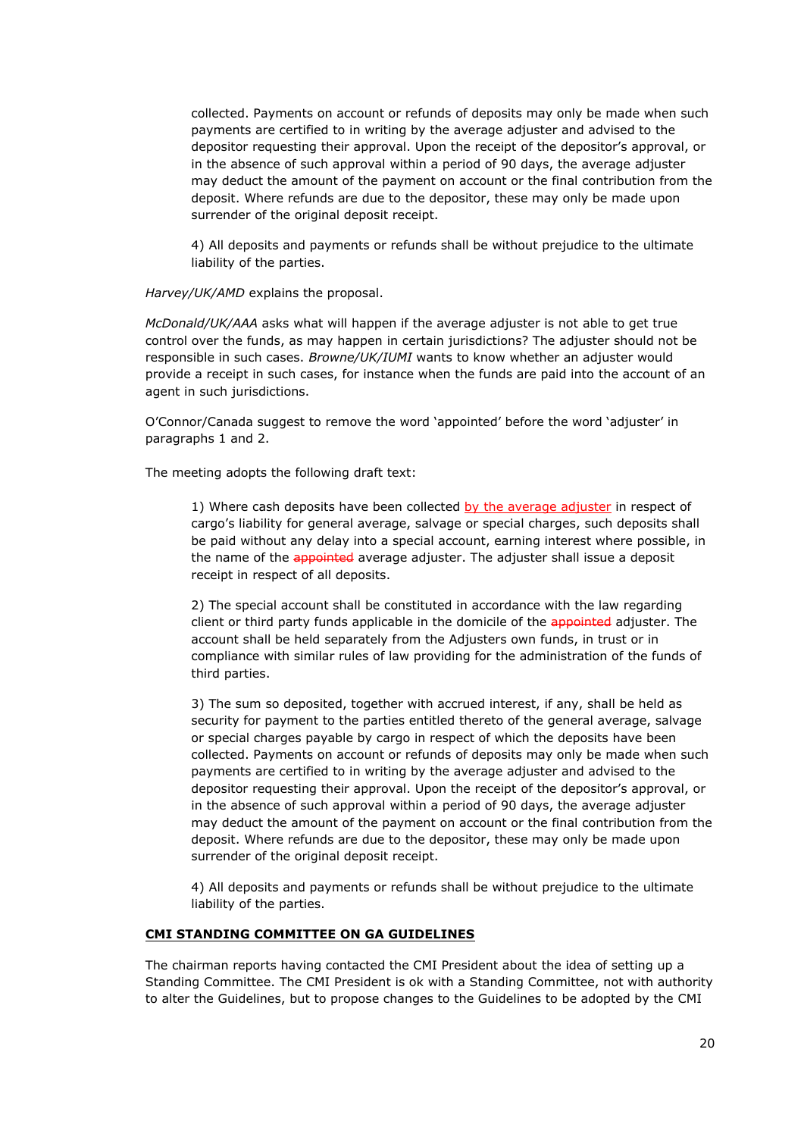collected. Payments on account or refunds of deposits may only be made when such payments are certified to in writing by the average adjuster and advised to the depositor requesting their approval. Upon the receipt of the depositor's approval, or in the absence of such approval within a period of 90 days, the average adjuster may deduct the amount of the payment on account or the final contribution from the deposit. Where refunds are due to the depositor, these may only be made upon surrender of the original deposit receipt.

4) All deposits and payments or refunds shall be without prejudice to the ultimate liability of the parties.

*Harvey/UK/AMD* explains the proposal.

*McDonald/UK/AAA* asks what will happen if the average adjuster is not able to get true control over the funds, as may happen in certain jurisdictions? The adjuster should not be responsible in such cases. *Browne/UK/IUMI* wants to know whether an adjuster would provide a receipt in such cases, for instance when the funds are paid into the account of an agent in such jurisdictions.

O'Connor/Canada suggest to remove the word 'appointed' before the word 'adjuster' in paragraphs 1 and 2.

The meeting adopts the following draft text:

1) Where cash deposits have been collected by the average adjuster in respect of cargo's liability for general average, salvage or special charges, such deposits shall be paid without any delay into a special account, earning interest where possible, in the name of the appointed average adjuster. The adjuster shall issue a deposit receipt in respect of all deposits.

2) The special account shall be constituted in accordance with the law regarding client or third party funds applicable in the domicile of the appointed adjuster. The account shall be held separately from the Adjusters own funds, in trust or in compliance with similar rules of law providing for the administration of the funds of third parties.

3) The sum so deposited, together with accrued interest, if any, shall be held as security for payment to the parties entitled thereto of the general average, salvage or special charges payable by cargo in respect of which the deposits have been collected. Payments on account or refunds of deposits may only be made when such payments are certified to in writing by the average adjuster and advised to the depositor requesting their approval. Upon the receipt of the depositor's approval, or in the absence of such approval within a period of 90 days, the average adjuster may deduct the amount of the payment on account or the final contribution from the deposit. Where refunds are due to the depositor, these may only be made upon surrender of the original deposit receipt.

4) All deposits and payments or refunds shall be without prejudice to the ultimate liability of the parties.

#### **CMI STANDING COMMITTEE ON GA GUIDELINES**

The chairman reports having contacted the CMI President about the idea of setting up a Standing Committee. The CMI President is ok with a Standing Committee, not with authority to alter the Guidelines, but to propose changes to the Guidelines to be adopted by the CMI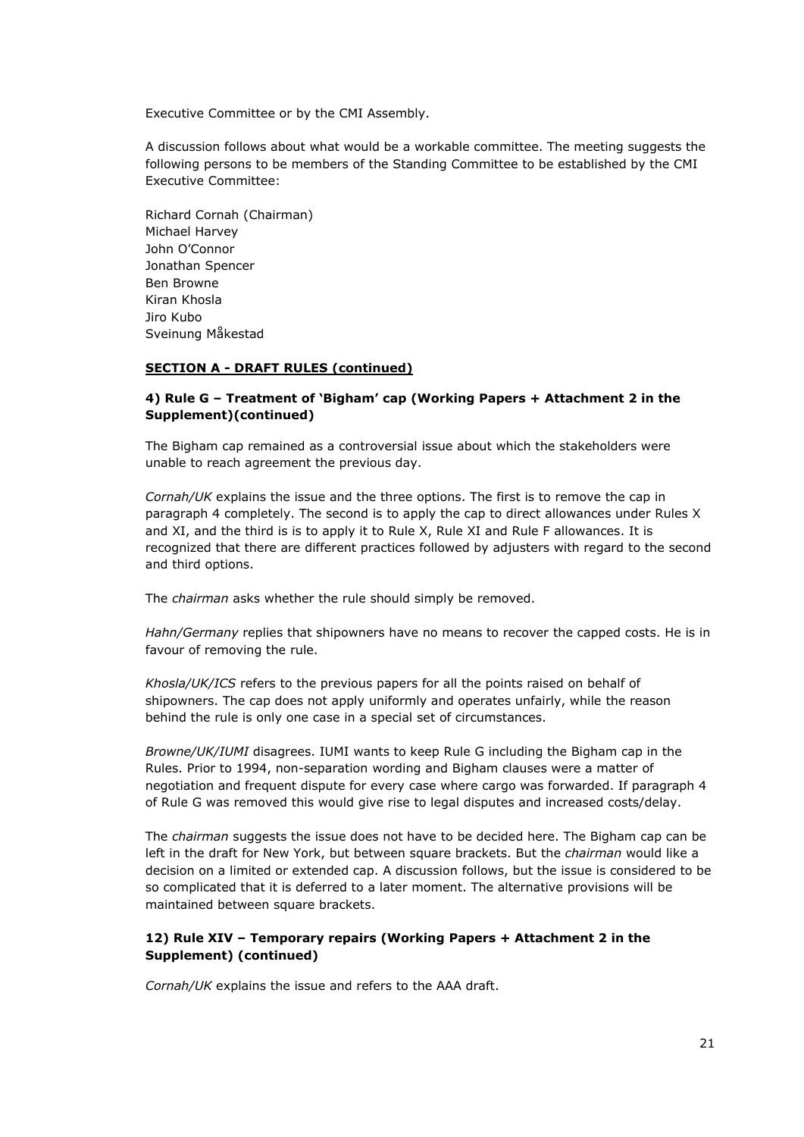Executive Committee or by the CMI Assembly.

A discussion follows about what would be a workable committee. The meeting suggests the following persons to be members of the Standing Committee to be established by the CMI Executive Committee:

Richard Cornah (Chairman) Michael Harvey John O'Connor Jonathan Spencer Ben Browne Kiran Khosla Jiro Kubo Sveinung Måkestad

#### **SECTION A - DRAFT RULES (continued)**

### **4) Rule G – Treatment of 'Bigham' cap (Working Papers + Attachment 2 in the Supplement)(continued)**

The Bigham cap remained as a controversial issue about which the stakeholders were unable to reach agreement the previous day.

*Cornah/UK* explains the issue and the three options. The first is to remove the cap in paragraph 4 completely. The second is to apply the cap to direct allowances under Rules X and XI, and the third is is to apply it to Rule X, Rule XI and Rule F allowances. It is recognized that there are different practices followed by adjusters with regard to the second and third options.

The *chairman* asks whether the rule should simply be removed.

*Hahn/Germany* replies that shipowners have no means to recover the capped costs. He is in favour of removing the rule.

*Khosla/UK/ICS* refers to the previous papers for all the points raised on behalf of shipowners. The cap does not apply uniformly and operates unfairly, while the reason behind the rule is only one case in a special set of circumstances.

*Browne/UK/IUMI* disagrees. IUMI wants to keep Rule G including the Bigham cap in the Rules. Prior to 1994, non-separation wording and Bigham clauses were a matter of negotiation and frequent dispute for every case where cargo was forwarded. If paragraph 4 of Rule G was removed this would give rise to legal disputes and increased costs/delay.

The *chairman* suggests the issue does not have to be decided here. The Bigham cap can be left in the draft for New York, but between square brackets. But the *chairman* would like a decision on a limited or extended cap. A discussion follows, but the issue is considered to be so complicated that it is deferred to a later moment. The alternative provisions will be maintained between square brackets.

### **12) Rule XIV – Temporary repairs (Working Papers + Attachment 2 in the Supplement) (continued)**

*Cornah/UK* explains the issue and refers to the AAA draft.